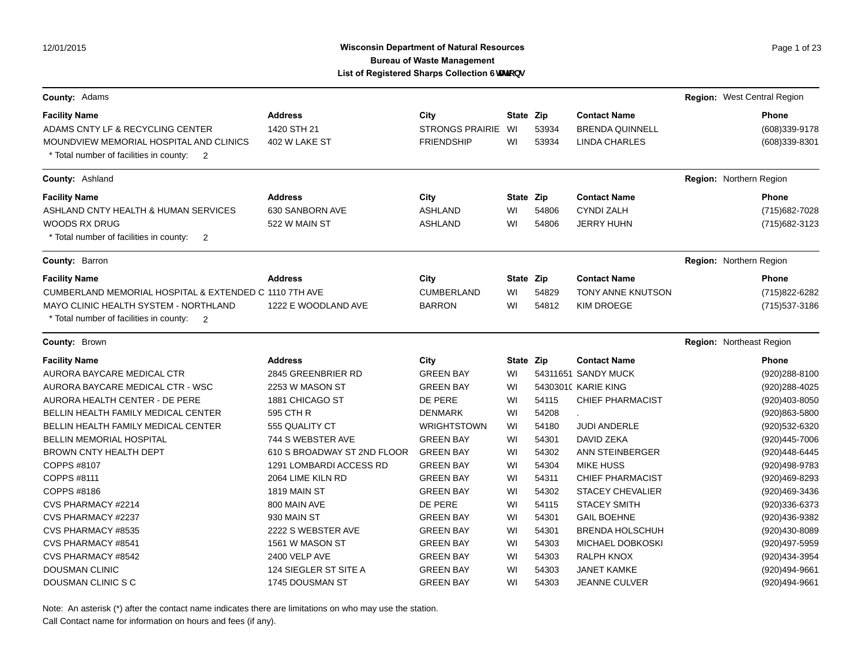## Wisconsin Department of Natural Resources **Page 1** of 23 **Bureau of Waste Management List of Registered Sharps Collection GHJzcbg**

| County: Adams                                                                                        |                             |                        |           |       |                         | Region: West Central Region |
|------------------------------------------------------------------------------------------------------|-----------------------------|------------------------|-----------|-------|-------------------------|-----------------------------|
| <b>Facility Name</b>                                                                                 | <b>Address</b>              | City                   | State Zip |       | <b>Contact Name</b>     | Phone                       |
| ADAMS CNTY LF & RECYCLING CENTER                                                                     | 1420 STH 21                 | <b>STRONGS PRAIRIE</b> | WI        | 53934 | <b>BRENDA QUINNELL</b>  | (608)339-9178               |
| MOUNDVIEW MEMORIAL HOSPITAL AND CLINICS<br>* Total number of facilities in county:<br>$\overline{2}$ | 402 W LAKE ST               | <b>FRIENDSHIP</b>      | WI        | 53934 | <b>LINDA CHARLES</b>    | (608)339-8301               |
| County: Ashland                                                                                      |                             |                        |           |       |                         | Region: Northern Region     |
| <b>Facility Name</b>                                                                                 | <b>Address</b>              | City                   | State Zip |       | <b>Contact Name</b>     | <b>Phone</b>                |
| ASHLAND CNTY HEALTH & HUMAN SERVICES                                                                 | 630 SANBORN AVE             | <b>ASHLAND</b>         | WI        | 54806 | <b>CYNDI ZALH</b>       | (715) 682-7028              |
| <b>WOODS RX DRUG</b>                                                                                 | 522 W MAIN ST               | <b>ASHLAND</b>         | WI        | 54806 | <b>JERRY HUHN</b>       | (715) 682-3123              |
| * Total number of facilities in county:<br>$\overline{2}$                                            |                             |                        |           |       |                         |                             |
| County: Barron                                                                                       |                             |                        |           |       |                         | Region: Northern Region     |
| <b>Facility Name</b>                                                                                 | <b>Address</b>              | City                   | State Zip |       | <b>Contact Name</b>     | Phone                       |
| CUMBERLAND MEMORIAL HOSPITAL & EXTENDED C 1110 7TH AVE                                               |                             | <b>CUMBERLAND</b>      | WI        | 54829 | TONY ANNE KNUTSON       | (715) 822-6282              |
| MAYO CLINIC HEALTH SYSTEM - NORTHLAND                                                                | 1222 E WOODLAND AVE         | <b>BARRON</b>          | WI        | 54812 | <b>KIM DROEGE</b>       | (715) 537-3186              |
| * Total number of facilities in county:<br>$\overline{2}$                                            |                             |                        |           |       |                         |                             |
| <b>County: Brown</b>                                                                                 |                             |                        |           |       |                         | Region: Northeast Region    |
| <b>Facility Name</b>                                                                                 | <b>Address</b>              | City                   | State Zip |       | <b>Contact Name</b>     | Phone                       |
| AURORA BAYCARE MEDICAL CTR                                                                           | 2845 GREENBRIER RD          | <b>GREEN BAY</b>       | WI        |       | 54311651 SANDY MUCK     | (920) 288-8100              |
| AURORA BAYCARE MEDICAL CTR - WSC                                                                     | 2253 W MASON ST             | <b>GREEN BAY</b>       | WI        |       | 54303010 KARIE KING     | (920) 288-4025              |
| AURORA HEALTH CENTER - DE PERE                                                                       | 1881 CHICAGO ST             | DE PERE                | WI        | 54115 | <b>CHIEF PHARMACIST</b> | (920)403-8050               |
| BELLIN HEALTH FAMILY MEDICAL CENTER                                                                  | 595 CTH R                   | <b>DENMARK</b>         | WI        | 54208 |                         | (920)863-5800               |
| BELLIN HEALTH FAMILY MEDICAL CENTER                                                                  | 555 QUALITY CT              | WRIGHTSTOWN            | WI        | 54180 | <b>JUDI ANDERLE</b>     | (920) 532-6320              |
| BELLIN MEMORIAL HOSPITAL                                                                             | 744 S WEBSTER AVE           | <b>GREEN BAY</b>       | WI        | 54301 | DAVID ZEKA              | (920)445-7006               |
| BROWN CNTY HEALTH DEPT                                                                               | 610 S BROADWAY ST 2ND FLOOR | <b>GREEN BAY</b>       | WI        | 54302 | ANN STEINBERGER         | (920)448-6445               |
| COPPS #8107                                                                                          | 1291 LOMBARDI ACCESS RD     | <b>GREEN BAY</b>       | WI        | 54304 | <b>MIKE HUSS</b>        | (920)498-9783               |
| COPPS #8111                                                                                          | 2064 LIME KILN RD           | <b>GREEN BAY</b>       | WI        | 54311 | <b>CHIEF PHARMACIST</b> | (920)469-8293               |
| COPPS #8186                                                                                          | 1819 MAIN ST                | <b>GREEN BAY</b>       | WI        | 54302 | <b>STACEY CHEVALIER</b> | (920)469-3436               |
| CVS PHARMACY #2214                                                                                   | 800 MAIN AVE                | DE PERE                | WI        | 54115 | <b>STACEY SMITH</b>     | (920)336-6373               |
| CVS PHARMACY #2237                                                                                   | 930 MAIN ST                 | <b>GREEN BAY</b>       | WI        | 54301 | <b>GAIL BOEHNE</b>      | (920)436-9382               |
| CVS PHARMACY #8535                                                                                   | 2222 S WEBSTER AVE          | <b>GREEN BAY</b>       | WI        | 54301 | <b>BRENDA HOLSCHUH</b>  | (920)430-8089               |
| CVS PHARMACY #8541                                                                                   | 1561 W MASON ST             | <b>GREEN BAY</b>       | WI        | 54303 | MICHAEL DOBKOSKI        | (920)497-5959               |
| <b>CVS PHARMACY #8542</b>                                                                            | 2400 VELP AVE               | <b>GREEN BAY</b>       | WI        | 54303 | <b>RALPH KNOX</b>       | (920)434-3954               |
| <b>DOUSMAN CLINIC</b>                                                                                | 124 SIEGLER ST SITE A       | <b>GREEN BAY</b>       | WI        | 54303 | <b>JANET KAMKE</b>      | (920)494-9661               |
| DOUSMAN CLINIC S C                                                                                   | 1745 DOUSMAN ST             | <b>GREEN BAY</b>       | WI        | 54303 | <b>JEANNE CULVER</b>    | (920)494-9661               |

Note: An asterisk (\*) after the contact name indicates there are limitations on who may use the station.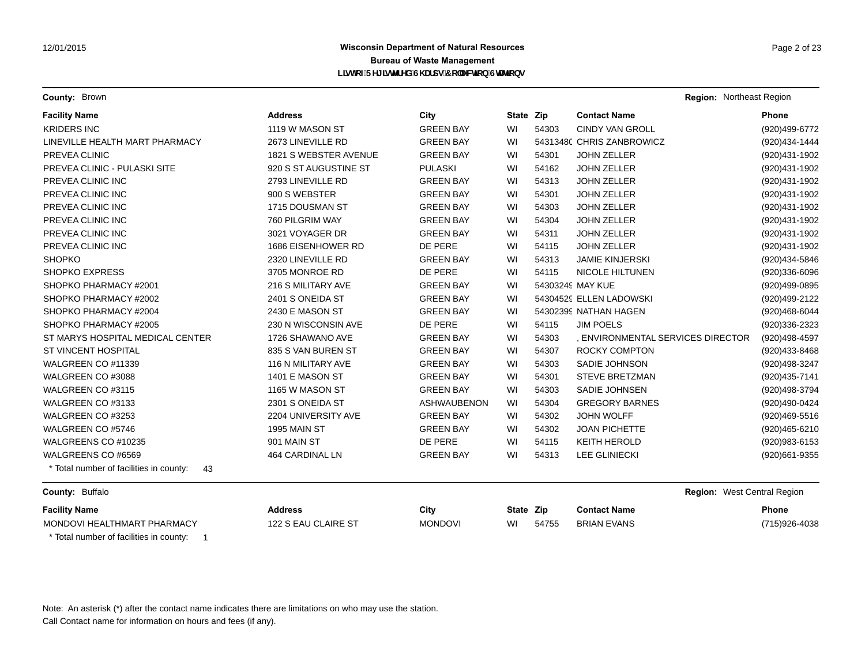# **Wisconsin Department of Natural Resources Page 2 of 23 Page 2 of 23 Bureau of Waste Management** L]ghcZFY[ ]ghYfYX'G\ Ufdg'7c"YWJcb'GHJJcbg

**County:** Brown **Region:** Northeast Region **Region:** Northeast Region **Region:** Northeast Region

| <b>Facility Name</b>                          | <b>Address</b>         | City               | State Zip |       | <b>Contact Name</b>               | Phone          |
|-----------------------------------------------|------------------------|--------------------|-----------|-------|-----------------------------------|----------------|
| <b>KRIDERS INC</b>                            | 1119 W MASON ST        | <b>GREEN BAY</b>   | WI        | 54303 | <b>CINDY VAN GROLL</b>            | (920)499-6772  |
| LINEVILLE HEALTH MART PHARMACY                | 2673 LINEVILLE RD      | <b>GREEN BAY</b>   | WI        |       | 5431348( CHRIS ZANBROWICZ         | (920)434-1444  |
| PREVEA CLINIC                                 | 1821 S WEBSTER AVENUE  | <b>GREEN BAY</b>   | WI        | 54301 | <b>JOHN ZELLER</b>                | (920)431-1902  |
| <b>PREVEA CLINIC - PULASKI SITE</b>           | 920 S ST AUGUSTINE ST  | <b>PULASKI</b>     | WI        | 54162 | <b>JOHN ZELLER</b>                | (920)431-1902  |
| PREVEA CLINIC INC                             | 2793 LINEVILLE RD      | <b>GREEN BAY</b>   | WI        | 54313 | <b>JOHN ZELLER</b>                | (920)431-1902  |
| PREVEA CLINIC INC                             | 900 S WEBSTER          | <b>GREEN BAY</b>   | WI        | 54301 | <b>JOHN ZELLER</b>                | (920)431-1902  |
| PREVEA CLINIC INC                             | 1715 DOUSMAN ST        | <b>GREEN BAY</b>   | WI        | 54303 | <b>JOHN ZELLER</b>                | (920)431-1902  |
| PREVEA CLINIC INC                             | 760 PILGRIM WAY        | <b>GREEN BAY</b>   | WI        | 54304 | <b>JOHN ZELLER</b>                | (920)431-1902  |
| PREVEA CLINIC INC                             | 3021 VOYAGER DR        | <b>GREEN BAY</b>   | WI        | 54311 | <b>JOHN ZELLER</b>                | (920)431-1902  |
| PREVEA CLINIC INC                             | 1686 EISENHOWER RD     | DE PERE            | WI        | 54115 | <b>JOHN ZELLER</b>                | (920)431-1902  |
| <b>SHOPKO</b>                                 | 2320 LINEVILLE RD      | <b>GREEN BAY</b>   | WI        | 54313 | <b>JAMIE KINJERSKI</b>            | (920)434-5846  |
| <b>SHOPKO EXPRESS</b>                         | 3705 MONROE RD         | DE PERE            | WI        | 54115 | <b>NICOLE HILTUNEN</b>            | (920)336-6096  |
| SHOPKO PHARMACY #2001                         | 216 S MILITARY AVE     | <b>GREEN BAY</b>   | WI        |       | 54303249 MAY KUE                  | (920)499-0895  |
| SHOPKO PHARMACY #2002                         | 2401 S ONEIDA ST       | <b>GREEN BAY</b>   | WI        |       | 54304529 ELLEN LADOWSKI           | (920)499-2122  |
| SHOPKO PHARMACY #2004                         | 2430 E MASON ST        | <b>GREEN BAY</b>   | WI        |       | 54302399 NATHAN HAGEN             | (920)468-6044  |
| SHOPKO PHARMACY #2005                         | 230 N WISCONSIN AVE    | DE PERE            | WI        | 54115 | <b>JIM POELS</b>                  | (920)336-2323  |
| ST MARYS HOSPITAL MEDICAL CENTER              | 1726 SHAWANO AVE       | <b>GREEN BAY</b>   | WI        | 54303 | , ENVIRONMENTAL SERVICES DIRECTOR | (920)498-4597  |
| <b>ST VINCENT HOSPITAL</b>                    | 835 S VAN BUREN ST     | <b>GREEN BAY</b>   | WI        | 54307 | <b>ROCKY COMPTON</b>              | (920)433-8468  |
| WALGREEN CO #11339                            | 116 N MILITARY AVE     | <b>GREEN BAY</b>   | WI        | 54303 | SADIE JOHNSON                     | (920)498-3247  |
| WALGREEN CO #3088                             | 1401 E MASON ST        | <b>GREEN BAY</b>   | WI        | 54301 | <b>STEVE BRETZMAN</b>             | (920) 435-7141 |
| WALGREEN CO #3115                             | 1165 W MASON ST        | <b>GREEN BAY</b>   | WI        | 54303 | SADIE JOHNSEN                     | (920)498-3794  |
| WALGREEN CO #3133                             | 2301 S ONEIDA ST       | <b>ASHWAUBENON</b> | WI        | 54304 | <b>GREGORY BARNES</b>             | (920)490-0424  |
| WALGREEN CO #3253                             | 2204 UNIVERSITY AVE    | <b>GREEN BAY</b>   | WI        | 54302 | <b>JOHN WOLFF</b>                 | (920)469-5516  |
| WALGREEN CO #5746                             | 1995 MAIN ST           | <b>GREEN BAY</b>   | WI        | 54302 | <b>JOAN PICHETTE</b>              | (920)465-6210  |
| WALGREENS CO #10235                           | 901 MAIN ST            | DE PERE            | WI        | 54115 | <b>KEITH HEROLD</b>               | (920) 983-6153 |
| WALGREENS CO #6569                            | <b>464 CARDINAL LN</b> | <b>GREEN BAY</b>   | WI        | 54313 | <b>LEE GLINIECKI</b>              | (920)661-9355  |
| * Total number of facilities in county:<br>43 |                        |                    |           |       |                                   |                |
| County: Buffalo                               |                        |                    |           |       | Region: West Central Region       |                |
| <b>Facility Name</b>                          | <b>Address</b>         | City               | State Zip |       | <b>Contact Name</b>               | <b>Phone</b>   |
| MONDOVI HEALTHMART PHARMACY                   | 122 S EAU CLAIRE ST    | <b>MONDOVI</b>     | WI        | 54755 | <b>BRIAN EVANS</b>                | (715) 926-4038 |
| * Total number of facilities in county:       |                        |                    |           |       |                                   |                |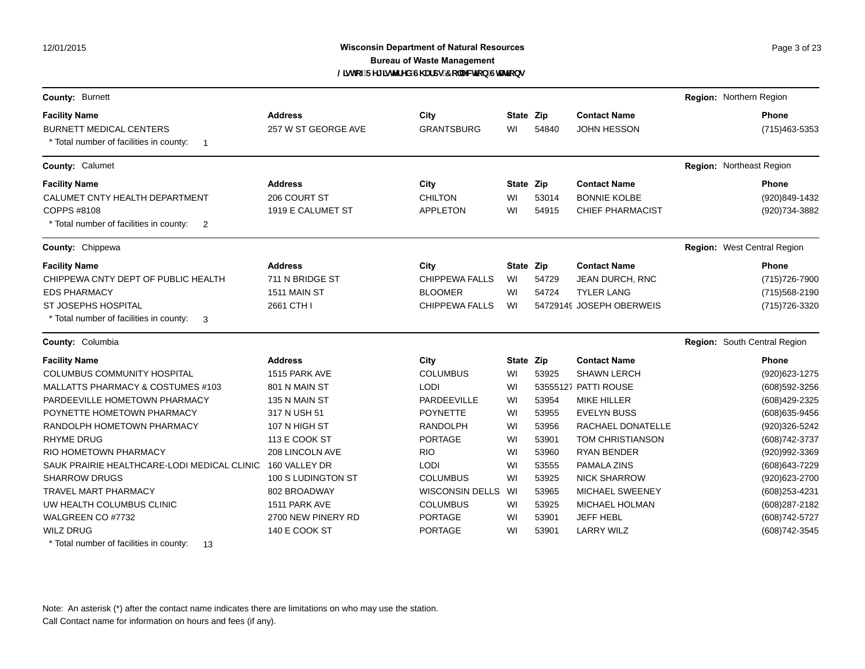12/01/2015

# **Wisconsin Department of Natural Resources Page 3 of 23 Page 3 of 23 Bureau of Waste Management** @ghcZFY[]ghYfYX'G\Ufdg'7c"YWjcb'GHJjcbg

| County: Burnett                                                                 |                     |                        |           |       |                          | Region: Northern Region            |
|---------------------------------------------------------------------------------|---------------------|------------------------|-----------|-------|--------------------------|------------------------------------|
| <b>Facility Name</b>                                                            | <b>Address</b>      | City                   | State Zip |       | <b>Contact Name</b>      | <b>Phone</b>                       |
| <b>BURNETT MEDICAL CENTERS</b><br>* Total number of facilities in county:<br>-1 | 257 W ST GEORGE AVE | <b>GRANTSBURG</b>      | WI        | 54840 | <b>JOHN HESSON</b>       | (715) 463-5353                     |
| County: Calumet                                                                 |                     |                        |           |       |                          | Region: Northeast Region           |
| <b>Facility Name</b>                                                            | <b>Address</b>      | City                   | State Zip |       | <b>Contact Name</b>      | <b>Phone</b>                       |
| CALUMET CNTY HEALTH DEPARTMENT                                                  | 206 COURT ST        | <b>CHILTON</b>         | WI        | 53014 | <b>BONNIE KOLBE</b>      | (920)849-1432                      |
| COPPS #8108                                                                     | 1919 E CALUMET ST   | <b>APPLETON</b>        | WI        | 54915 | <b>CHIEF PHARMACIST</b>  | (920)734-3882                      |
| * Total number of facilities in county:<br>2                                    |                     |                        |           |       |                          |                                    |
| County: Chippewa                                                                |                     |                        |           |       |                          | <b>Region:</b> West Central Region |
| <b>Facility Name</b>                                                            | <b>Address</b>      | City                   | State Zip |       | <b>Contact Name</b>      | <b>Phone</b>                       |
| CHIPPEWA CNTY DEPT OF PUBLIC HEALTH                                             | 711 N BRIDGE ST     | <b>CHIPPEWA FALLS</b>  | WI        | 54729 | JEAN DURCH, RNC          | (715) 726-7900                     |
| <b>EDS PHARMACY</b>                                                             | 1511 MAIN ST        | <b>BLOOMER</b>         | WI        | 54724 | <b>TYLER LANG</b>        | (715) 568-2190                     |
| <b>ST JOSEPHS HOSPITAL</b>                                                      | 2661 CTH I          | <b>CHIPPEWA FALLS</b>  | WI        |       | 54729149 JOSEPH OBERWEIS | (715) 726-3320                     |
| * Total number of facilities in county:<br>3                                    |                     |                        |           |       |                          |                                    |
| County: Columbia                                                                |                     |                        |           |       |                          | Region: South Central Region       |
| <b>Facility Name</b>                                                            | <b>Address</b>      | City                   | State Zip |       | <b>Contact Name</b>      | <b>Phone</b>                       |
| <b>COLUMBUS COMMUNITY HOSPITAL</b>                                              | 1515 PARK AVE       | <b>COLUMBUS</b>        | WI        | 53925 | <b>SHAWN LERCH</b>       | (920) 623-1275                     |
| MALLATTS PHARMACY & COSTUMES #103                                               | 801 N MAIN ST       | <b>LODI</b>            | WI        |       | 53555127 PATTI ROUSE     | (608) 592-3256                     |
| PARDEEVILLE HOMETOWN PHARMACY                                                   | 135 N MAIN ST       | PARDEEVILLE            | WI        | 53954 | <b>MIKE HILLER</b>       | (608) 429-2325                     |
| POYNETTE HOMETOWN PHARMACY                                                      | 317 N USH 51        | <b>POYNETTE</b>        | WI        | 53955 | <b>EVELYN BUSS</b>       | (608) 635-9456                     |
| RANDOLPH HOMETOWN PHARMACY                                                      | 107 N HIGH ST       | <b>RANDOLPH</b>        | WI        | 53956 | <b>RACHAEL DONATELLE</b> | (920)326-5242                      |
| <b>RHYME DRUG</b>                                                               | 113 E COOK ST       | <b>PORTAGE</b>         | WI        | 53901 | <b>TOM CHRISTIANSON</b>  | (608) 742-3737                     |
| RIO HOMETOWN PHARMACY                                                           | 208 LINCOLN AVE     | <b>RIO</b>             | WI        | 53960 | <b>RYAN BENDER</b>       | (920)992-3369                      |
| SAUK PRAIRIE HEALTHCARE-LODI MEDICAL CLINIC                                     | 160 VALLEY DR       | <b>LODI</b>            | WI        | 53555 | PAMALA ZINS              | (608) 643-7229                     |
| <b>SHARROW DRUGS</b>                                                            | 100 S LUDINGTON ST  | <b>COLUMBUS</b>        | WI        | 53925 | <b>NICK SHARROW</b>      | (920) 623-2700                     |
| TRAVEL MART PHARMACY                                                            | 802 BROADWAY        | <b>WISCONSIN DELLS</b> | WI        | 53965 | MICHAEL SWEENEY          | (608) 253-4231                     |
| UW HEALTH COLUMBUS CLINIC                                                       | 1511 PARK AVE       | <b>COLUMBUS</b>        | WI        | 53925 | <b>MICHAEL HOLMAN</b>    | (608) 287-2182                     |
| WALGREEN CO #7732                                                               | 2700 NEW PINERY RD  | <b>PORTAGE</b>         | WI        | 53901 | <b>JEFF HEBL</b>         | (608) 742-5727                     |
| <b>WILZ DRUG</b>                                                                | 140 E COOK ST       | <b>PORTAGE</b>         | WI        | 53901 | <b>LARRY WILZ</b>        | (608) 742-3545                     |
| * Total number of facilities in county:<br>13                                   |                     |                        |           |       |                          |                                    |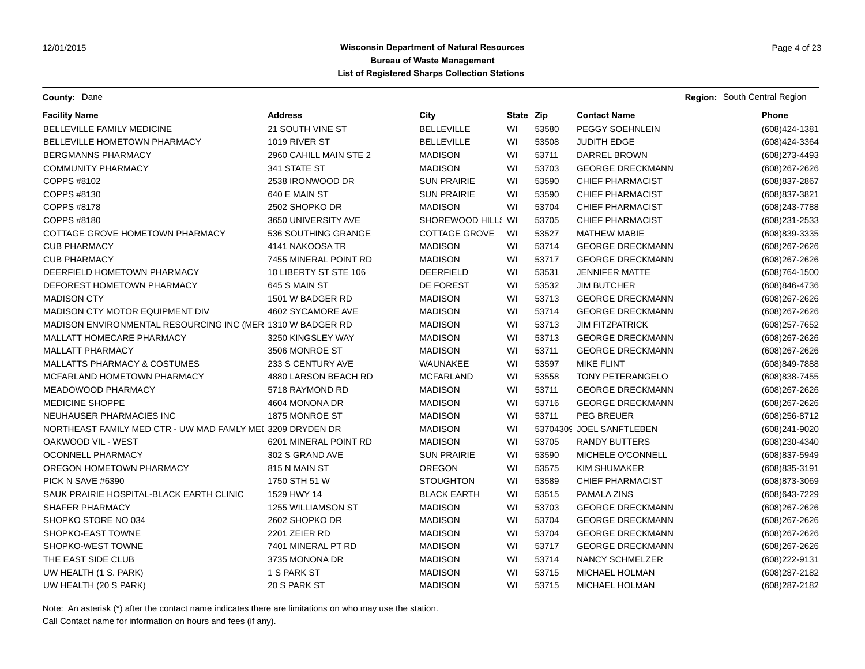**County:** Dane **Region:** South Central Region **Region:** South Central Region **Region:** South Central Region

| <b>Facility Name</b>                                       | <b>Address</b>         | City                 | State Zip |       | <b>Contact Name</b>      | Phone             |
|------------------------------------------------------------|------------------------|----------------------|-----------|-------|--------------------------|-------------------|
| <b>BELLEVILLE FAMILY MEDICINE</b>                          | 21 SOUTH VINE ST       | <b>BELLEVILLE</b>    | WI        | 53580 | <b>PEGGY SOEHNLEIN</b>   | (608)424-1381     |
| <b>BELLEVILLE HOMETOWN PHARMACY</b>                        | 1019 RIVER ST          | <b>BELLEVILLE</b>    | WI        | 53508 | <b>JUDITH EDGE</b>       | (608)424-3364     |
| <b>BERGMANNS PHARMACY</b>                                  | 2960 CAHILL MAIN STE 2 | <b>MADISON</b>       | WI        | 53711 | DARREL BROWN             | (608) 273-4493    |
| <b>COMMUNITY PHARMACY</b>                                  | 341 STATE ST           | <b>MADISON</b>       | WI        | 53703 | <b>GEORGE DRECKMANN</b>  | (608) 267-2626    |
| COPPS #8102                                                | 2538 IRONWOOD DR       | <b>SUN PRAIRIE</b>   | WI        | 53590 | <b>CHIEF PHARMACIST</b>  | (608) 837-2867    |
| COPPS #8130                                                | 640 E MAIN ST          | <b>SUN PRAIRIE</b>   | WI        | 53590 | <b>CHIEF PHARMACIST</b>  | (608) 837-3821    |
| COPPS #8178                                                | 2502 SHOPKO DR         | <b>MADISON</b>       | WI        | 53704 | <b>CHIEF PHARMACIST</b>  | (608) 243-7788    |
| COPPS #8180                                                | 3650 UNIVERSITY AVE    | SHOREWOOD HILL! WI   |           | 53705 | <b>CHIEF PHARMACIST</b>  | (608) 231-2533    |
| COTTAGE GROVE HOMETOWN PHARMACY                            | 536 SOUTHING GRANGE    | <b>COTTAGE GROVE</b> | WI        | 53527 | <b>MATHEW MABIE</b>      | (608)839-3335     |
| <b>CUB PHARMACY</b>                                        | 4141 NAKOOSA TR        | <b>MADISON</b>       | WI        | 53714 | <b>GEORGE DRECKMANN</b>  | $(608)267 - 2626$ |
| <b>CUB PHARMACY</b>                                        | 7455 MINERAL POINT RD  | <b>MADISON</b>       | WI        | 53717 | <b>GEORGE DRECKMANN</b>  | $(608)267 - 2626$ |
| DEERFIELD HOMETOWN PHARMACY                                | 10 LIBERTY ST STE 106  | <b>DEERFIELD</b>     | WI        | 53531 | <b>JENNIFER MATTE</b>    | (608) 764-1500    |
| DEFOREST HOMETOWN PHARMACY                                 | 645 S MAIN ST          | DE FOREST            | WI        | 53532 | <b>JIM BUTCHER</b>       | (608)846-4736     |
| <b>MADISON CTY</b>                                         | 1501 W BADGER RD       | <b>MADISON</b>       | WI        | 53713 | <b>GEORGE DRECKMANN</b>  | (608) 267-2626    |
| MADISON CTY MOTOR EQUIPMENT DIV                            | 4602 SYCAMORE AVE      | <b>MADISON</b>       | WI        | 53714 | <b>GEORGE DRECKMANN</b>  | (608) 267-2626    |
| MADISON ENVIRONMENTAL RESOURCING INC (MER 1310 W BADGER RD |                        | <b>MADISON</b>       | WI        | 53713 | <b>JIM FITZPATRICK</b>   | (608) 257-7652    |
| MALLATT HOMECARE PHARMACY                                  | 3250 KINGSLEY WAY      | <b>MADISON</b>       | WI        | 53713 | <b>GEORGE DRECKMANN</b>  | (608) 267-2626    |
| <b>MALLATT PHARMACY</b>                                    | 3506 MONROE ST         | <b>MADISON</b>       | WI        | 53711 | <b>GEORGE DRECKMANN</b>  | (608) 267-2626    |
| <b>MALLATTS PHARMACY &amp; COSTUMES</b>                    | 233 S CENTURY AVE      | WAUNAKEE             | WI        | 53597 | <b>MIKE FLINT</b>        | (608)849-7888     |
| MCFARLAND HOMETOWN PHARMACY                                | 4880 LARSON BEACH RD   | <b>MCFARLAND</b>     | WI        | 53558 | <b>TONY PETERANGELO</b>  | (608) 838-7455    |
| MEADOWOOD PHARMACY                                         | 5718 RAYMOND RD        | <b>MADISON</b>       | WI        | 53711 | <b>GEORGE DRECKMANN</b>  | (608) 267-2626    |
| <b>MEDICINE SHOPPE</b>                                     | 4604 MONONA DR         | <b>MADISON</b>       | WI        | 53716 | <b>GEORGE DRECKMANN</b>  | (608) 267-2626    |
| NEUHAUSER PHARMACIES INC                                   | 1875 MONROE ST         | <b>MADISON</b>       | WI        | 53711 | <b>PEG BREUER</b>        | (608) 256-8712    |
| NORTHEAST FAMILY MED CTR - UW MAD FAMLY MEI 3209 DRYDEN DR |                        | <b>MADISON</b>       | WI        |       | 53704309 JOEL SANFTLEBEN | (608) 241-9020    |
| OAKWOOD VIL - WEST                                         | 6201 MINERAL POINT RD  | <b>MADISON</b>       | WI        | 53705 | <b>RANDY BUTTERS</b>     | (608)230-4340     |
| OCONNELL PHARMACY                                          | 302 S GRAND AVE        | <b>SUN PRAIRIE</b>   | WI        | 53590 | MICHELE O'CONNELL        | (608) 837-5949    |
| OREGON HOMETOWN PHARMACY                                   | 815 N MAIN ST          | <b>OREGON</b>        | WI        | 53575 | <b>KIM SHUMAKER</b>      | (608) 835-3191    |
| PICK N SAVE #6390                                          | 1750 STH 51 W          | <b>STOUGHTON</b>     | WI        | 53589 | <b>CHIEF PHARMACIST</b>  | (608) 873-3069    |
| SAUK PRAIRIE HOSPITAL-BLACK EARTH CLINIC                   | 1529 HWY 14            | <b>BLACK EARTH</b>   | WI        | 53515 | PAMALA ZINS              | (608) 643-7229    |
| SHAFER PHARMACY                                            | 1255 WILLIAMSON ST     | <b>MADISON</b>       | WI        | 53703 | <b>GEORGE DRECKMANN</b>  | (608) 267-2626    |
| SHOPKO STORE NO 034                                        | 2602 SHOPKO DR         | <b>MADISON</b>       | WI        | 53704 | <b>GEORGE DRECKMANN</b>  | (608) 267-2626    |
| SHOPKO-EAST TOWNE                                          | 2201 ZEIER RD          | <b>MADISON</b>       | WI        | 53704 | <b>GEORGE DRECKMANN</b>  | (608) 267-2626    |
| SHOPKO-WEST TOWNE                                          | 7401 MINERAL PT RD     | <b>MADISON</b>       | WI        | 53717 | <b>GEORGE DRECKMANN</b>  | (608) 267-2626    |
| THE EAST SIDE CLUB                                         | 3735 MONONA DR         | <b>MADISON</b>       | WI        | 53714 | <b>NANCY SCHMELZER</b>   | (608) 222-9131    |
| UW HEALTH (1 S. PARK)                                      | 1 S PARK ST            | <b>MADISON</b>       | WI        | 53715 | MICHAEL HOLMAN           | (608) 287-2182    |
| UW HEALTH (20 S PARK)                                      | 20 S PARK ST           | <b>MADISON</b>       | WI        | 53715 | MICHAEL HOLMAN           | (608) 287-2182    |

Note: An asterisk (\*) after the contact name indicates there are limitations on who may use the station.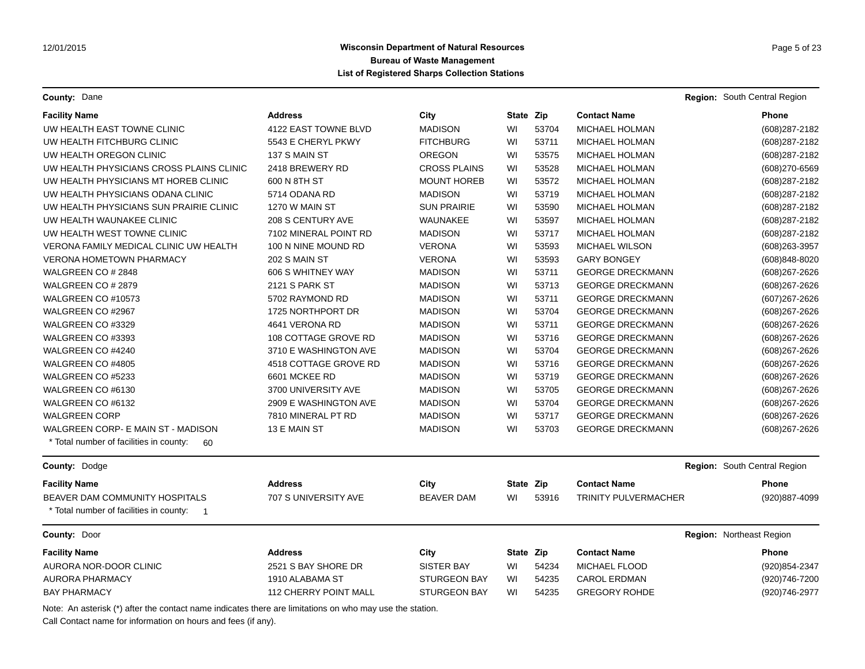**County:** Dane **Region:** South Central Region **Region:** South Central Region

| <b>Facility Name</b>                                                             | <b>Address</b>                         | City                             | State Zip |                                                                      | <b>Contact Name</b>                                                                                                                                                                       |                              | Phone                            |
|----------------------------------------------------------------------------------|----------------------------------------|----------------------------------|-----------|----------------------------------------------------------------------|-------------------------------------------------------------------------------------------------------------------------------------------------------------------------------------------|------------------------------|----------------------------------|
| UW HEALTH EAST TOWNE CLINIC                                                      | 4122 EAST TOWNE BLVD                   | <b>MADISON</b>                   | WI        | 53704                                                                | <b>MICHAEL HOLMAN</b>                                                                                                                                                                     |                              | (608) 287-2182                   |
| UW HEALTH FITCHBURG CLINIC                                                       | 5543 E CHERYL PKWY                     | <b>FITCHBURG</b>                 | WI        | 53711                                                                | <b>MICHAEL HOLMAN</b>                                                                                                                                                                     |                              | (608) 287-2182                   |
| UW HEALTH OREGON CLINIC                                                          | 137 S MAIN ST                          | <b>OREGON</b>                    | WI        | 53575                                                                | <b>MICHAEL HOLMAN</b>                                                                                                                                                                     |                              | (608) 287-2182                   |
| UW HEALTH PHYSICIANS CROSS PLAINS CLINIC                                         | 2418 BREWERY RD                        | <b>CROSS PLAINS</b>              | WI        | 53528                                                                | <b>MICHAEL HOLMAN</b>                                                                                                                                                                     |                              | (608) 270-6569                   |
| UW HEALTH PHYSICIANS MT HOREB CLINIC                                             | 600 N 8TH ST                           | <b>MOUNT HOREB</b>               | WI        | 53572                                                                | <b>MICHAEL HOLMAN</b>                                                                                                                                                                     |                              | (608) 287-2182                   |
| UW HEALTH PHYSICIANS ODANA CLINIC                                                | 5714 ODANA RD                          | <b>MADISON</b>                   | WI        | 53719                                                                | <b>MICHAEL HOLMAN</b>                                                                                                                                                                     |                              | (608) 287-2182                   |
| UW HEALTH PHYSICIANS SUN PRAIRIE CLINIC                                          | 1270 W MAIN ST                         | <b>SUN PRAIRIE</b>               | WI        | 53590                                                                | <b>MICHAEL HOLMAN</b>                                                                                                                                                                     |                              | (608) 287-2182                   |
| UW HEALTH WAUNAKEE CLINIC                                                        | <b>208 S CENTURY AVE</b>               | <b>WAUNAKEE</b>                  | WI        | 53597                                                                | <b>MICHAEL HOLMAN</b><br><b>MICHAEL HOLMAN</b>                                                                                                                                            |                              | (608) 287-2182<br>(608) 287-2182 |
| UW HEALTH WEST TOWNE CLINIC                                                      | 7102 MINERAL POINT RD                  | <b>MADISON</b>                   | WI        | 53717<br>53593                                                       |                                                                                                                                                                                           |                              |                                  |
| <b>VERONA FAMILY MEDICAL CLINIC UW HEALTH</b>                                    | 100 N NINE MOUND RD                    | <b>VERONA</b>                    | WI        |                                                                      | <b>MICHAEL WILSON</b>                                                                                                                                                                     |                              | (608) 263-3957                   |
| <b>VERONA HOMETOWN PHARMACY</b>                                                  | 202 S MAIN ST                          | <b>VERONA</b>                    | WI        | 53593                                                                | <b>GARY BONGEY</b>                                                                                                                                                                        |                              | (608)848-8020                    |
| WALGREEN CO # 2848                                                               | 606 S WHITNEY WAY                      | <b>MADISON</b>                   | WI        | 53711                                                                | <b>GEORGE DRECKMANN</b>                                                                                                                                                                   |                              | (608) 267-2626                   |
| WALGREEN CO # 2879                                                               | 2121 S PARK ST                         | <b>MADISON</b>                   | WI        | 53713                                                                | <b>GEORGE DRECKMANN</b>                                                                                                                                                                   |                              | (608) 267-2626                   |
| WALGREEN CO #10573                                                               | 5702 RAYMOND RD                        | <b>MADISON</b>                   | WI        | 53711                                                                | <b>GEORGE DRECKMANN</b>                                                                                                                                                                   |                              | (607) 267-2626                   |
| WALGREEN CO #2967<br>WALGREEN CO #3329<br>WALGREEN CO #3393<br>WALGREEN CO #4240 | 1725 NORTHPORT DR                      | <b>MADISON</b>                   | WI        | 53704<br>53711<br>53716<br>53704<br>53716<br>53719<br>53705<br>53704 | <b>GEORGE DRECKMANN</b><br><b>GEORGE DRECKMANN</b><br><b>GEORGE DRECKMANN</b><br><b>GEORGE DRECKMANN</b><br><b>GEORGE DRECKMANN</b><br><b>GEORGE DRECKMANN</b><br><b>GEORGE DRECKMANN</b> |                              | $(608)267 - 2626$                |
|                                                                                  | 4641 VERONA RD                         | <b>MADISON</b>                   | WI        |                                                                      |                                                                                                                                                                                           |                              | $(608)267 - 2626$                |
|                                                                                  | 108 COTTAGE GROVE RD                   | <b>MADISON</b>                   | WI        |                                                                      |                                                                                                                                                                                           |                              | $(608)267 - 2626$                |
|                                                                                  | 3710 E WASHINGTON AVE                  | <b>MADISON</b>                   | WI        |                                                                      |                                                                                                                                                                                           |                              | $(608)267 - 2626$                |
| WALGREEN CO #4805                                                                | 4518 COTTAGE GROVE RD<br>6601 MCKEE RD | <b>MADISON</b><br><b>MADISON</b> | WI        |                                                                      |                                                                                                                                                                                           |                              | (608) 267-2626                   |
| WALGREEN CO #5233                                                                |                                        |                                  | WI        |                                                                      |                                                                                                                                                                                           |                              | (608) 267-2626<br>(608) 267-2626 |
| WALGREEN CO #6130                                                                | 3700 UNIVERSITY AVE                    | <b>MADISON</b>                   | WI        |                                                                      |                                                                                                                                                                                           |                              |                                  |
| WALGREEN CO #6132                                                                | 2909 E WASHINGTON AVE                  | <b>MADISON</b>                   | WI        |                                                                      | <b>GEORGE DRECKMANN</b>                                                                                                                                                                   |                              | (608) 267-2626                   |
| <b>WALGREEN CORP</b>                                                             | 7810 MINERAL PT RD                     | <b>MADISON</b>                   | WI        | 53717                                                                | <b>GEORGE DRECKMANN</b>                                                                                                                                                                   |                              | (608) 267-2626                   |
| WALGREEN CORP- E MAIN ST - MADISON                                               | 13 E MAIN ST                           | <b>MADISON</b>                   | WI        | 53703                                                                | <b>GEORGE DRECKMANN</b>                                                                                                                                                                   |                              | (608) 267-2626                   |
| * Total number of facilities in county:<br>60                                    |                                        |                                  |           |                                                                      |                                                                                                                                                                                           |                              |                                  |
| County: Dodge                                                                    |                                        |                                  |           |                                                                      |                                                                                                                                                                                           | Region: South Central Region |                                  |
| <b>Facility Name</b>                                                             | <b>Address</b>                         | City                             | State Zip |                                                                      | <b>Contact Name</b>                                                                                                                                                                       |                              | <b>Phone</b>                     |
| <b>BEAVER DAM COMMUNITY HOSPITALS</b>                                            | 707 S UNIVERSITY AVE                   | <b>BEAVER DAM</b>                | WI        | 53916                                                                | <b>TRINITY PULVERMACHER</b>                                                                                                                                                               |                              | (920)887-4099                    |
| * Total number of facilities in county:<br>$\overline{\phantom{1}}$              |                                        |                                  |           |                                                                      |                                                                                                                                                                                           |                              |                                  |
| County: Door                                                                     |                                        |                                  |           |                                                                      |                                                                                                                                                                                           | Region: Northeast Region     |                                  |
| <b>Facility Name</b>                                                             | <b>Address</b>                         | City                             | State Zip |                                                                      | <b>Contact Name</b>                                                                                                                                                                       |                              | <b>Phone</b>                     |
| AURORA NOR-DOOR CLINIC                                                           | 2521 S BAY SHORE DR                    | <b>SISTER BAY</b>                | WI        | 54234                                                                | MICHAEL FLOOD                                                                                                                                                                             |                              | (920) 854-2347                   |
| AURORA PHARMACY                                                                  | 1910 ALABAMA ST                        | <b>STURGEON BAY</b>              | WI        | 54235                                                                | <b>CAROL ERDMAN</b>                                                                                                                                                                       |                              | (920) 746-7200                   |
| <b>BAY PHARMACY</b>                                                              | 112 CHERRY POINT MALL                  | <b>STURGEON BAY</b>              | WI        | 54235                                                                | <b>GREGORY ROHDE</b>                                                                                                                                                                      |                              | (920)746-2977                    |
|                                                                                  |                                        |                                  |           |                                                                      |                                                                                                                                                                                           |                              |                                  |

Note: An asterisk (\*) after the contact name indicates there are limitations on who may use the station.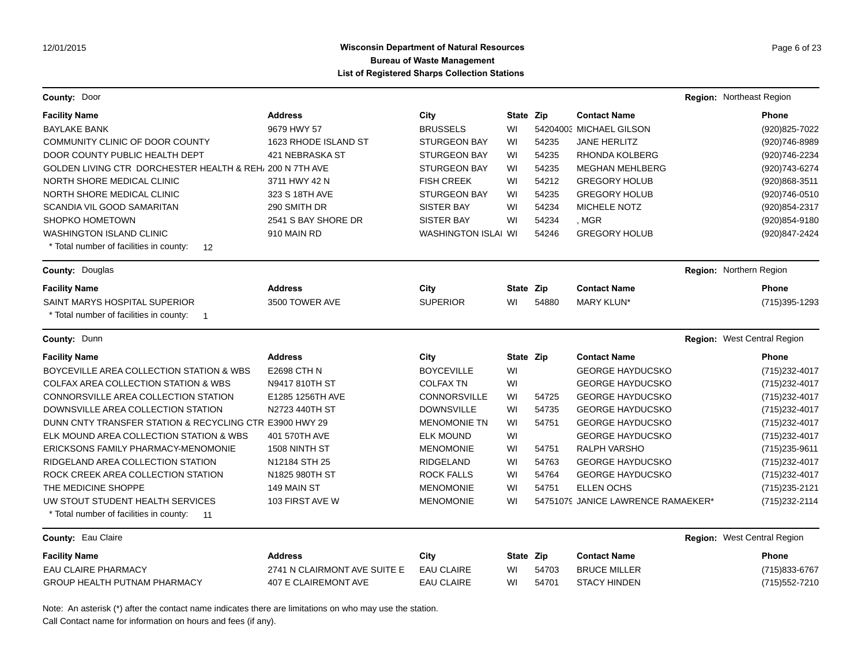## **Wisconsin Department of Natural Resources Page 6 of 23 Page 6 of 23 Bureau of Waste Management List of Registered Sharps Collection Stations**

| County: Door                                              |                              |                            |           |       |                                    | Region: Northeast Region    |
|-----------------------------------------------------------|------------------------------|----------------------------|-----------|-------|------------------------------------|-----------------------------|
| <b>Facility Name</b>                                      | <b>Address</b>               | City                       | State Zip |       | <b>Contact Name</b>                | <b>Phone</b>                |
| BAYLAKE BANK                                              | 9679 HWY 57                  | <b>BRUSSELS</b>            | WI        |       | 54204003 MICHAEL GILSON            | (920) 825-7022              |
| COMMUNITY CLINIC OF DOOR COUNTY                           | 1623 RHODE ISLAND ST         | <b>STURGEON BAY</b>        | WI        | 54235 | <b>JANE HERLITZ</b>                | (920)746-8989               |
| DOOR COUNTY PUBLIC HEALTH DEPT                            | 421 NEBRASKA ST              | <b>STURGEON BAY</b>        | WI        | 54235 | RHONDA KOLBERG                     | (920)746-2234               |
| GOLDEN LIVING CTR DORCHESTER HEALTH & REH, 200 N 7TH AVE  |                              | <b>STURGEON BAY</b>        | WI        | 54235 | <b>MEGHAN MEHLBERG</b>             | (920)743-6274               |
| NORTH SHORE MEDICAL CLINIC                                | 3711 HWY 42 N                | <b>FISH CREEK</b>          | WI        | 54212 | <b>GREGORY HOLUB</b>               | (920)868-3511               |
| NORTH SHORE MEDICAL CLINIC                                | 323 S 18TH AVE               | <b>STURGEON BAY</b>        | WI        | 54235 | <b>GREGORY HOLUB</b>               | (920) 746-0510              |
| SCANDIA VIL GOOD SAMARITAN                                | 290 SMITH DR                 | <b>SISTER BAY</b>          | WI        | 54234 | <b>MICHELE NOTZ</b>                | (920) 854-2317              |
| <b>SHOPKO HOMETOWN</b>                                    | 2541 S BAY SHORE DR          | <b>SISTER BAY</b>          | WI        | 54234 | , MGR                              | (920) 854-9180              |
| <b>WASHINGTON ISLAND CLINIC</b>                           | 910 MAIN RD                  | <b>WASHINGTON ISLAI WI</b> |           | 54246 | <b>GREGORY HOLUB</b>               | (920)847-2424               |
| * Total number of facilities in county:<br>12             |                              |                            |           |       |                                    |                             |
| County: Douglas                                           |                              |                            |           |       |                                    | Region: Northern Region     |
| <b>Facility Name</b>                                      | Address                      | City                       | State Zip |       | <b>Contact Name</b>                | Phone                       |
| SAINT MARYS HOSPITAL SUPERIOR                             | 3500 TOWER AVE               | <b>SUPERIOR</b>            | WI        | 54880 | <b>MARY KLUN*</b>                  | (715) 395-1293              |
| * Total number of facilities in county:<br>$\overline{1}$ |                              |                            |           |       |                                    |                             |
| County: Dunn                                              |                              |                            |           |       |                                    | Region: West Central Region |
| <b>Facility Name</b>                                      | <b>Address</b>               | City                       | State Zip |       | <b>Contact Name</b>                | <b>Phone</b>                |
| BOYCEVILLE AREA COLLECTION STATION & WBS                  | E2698 CTH N                  | <b>BOYCEVILLE</b>          | WI        |       | <b>GEORGE HAYDUCSKO</b>            | (715) 232-4017              |
| <b>COLFAX AREA COLLECTION STATION &amp; WBS</b>           | N9417 810TH ST               | <b>COLFAX TN</b>           | WI        |       | <b>GEORGE HAYDUCSKO</b>            | (715) 232-4017              |
| CONNORSVILLE AREA COLLECTION STATION                      | E1285 1256TH AVE             | <b>CONNORSVILLE</b>        | WI        | 54725 | <b>GEORGE HAYDUCSKO</b>            | (715) 232-4017              |
| DOWNSVILLE AREA COLLECTION STATION                        | N2723 440TH ST               | <b>DOWNSVILLE</b>          | WI        | 54735 | <b>GEORGE HAYDUCSKO</b>            | (715) 232-4017              |
| DUNN CNTY TRANSFER STATION & RECYCLING CTR E3900 HWY 29   |                              | <b>MENOMONIE TN</b>        | WI        | 54751 | <b>GEORGE HAYDUCSKO</b>            | (715) 232-4017              |
| ELK MOUND AREA COLLECTION STATION & WBS                   | 401 570TH AVE                | <b>ELK MOUND</b>           | WI        |       | <b>GEORGE HAYDUCSKO</b>            | (715) 232-4017              |
| ERICKSONS FAMILY PHARMACY-MENOMONIE                       | 1508 NINTH ST                | <b>MENOMONIE</b>           | WI        | 54751 | RALPH VARSHO                       | (715) 235-9611              |
| RIDGELAND AREA COLLECTION STATION                         | N12184 STH 25                | <b>RIDGELAND</b>           | WI        | 54763 | <b>GEORGE HAYDUCSKO</b>            | (715) 232-4017              |
| ROCK CREEK AREA COLLECTION STATION                        | N1825 980TH ST               | <b>ROCK FALLS</b>          | WI        | 54764 | <b>GEORGE HAYDUCSKO</b>            | (715) 232-4017              |
| THE MEDICINE SHOPPE                                       | 149 MAIN ST                  | <b>MENOMONIE</b>           | WI        | 54751 | <b>ELLEN OCHS</b>                  | (715) 235-2121              |
| UW STOUT STUDENT HEALTH SERVICES                          | 103 FIRST AVE W              | <b>MENOMONIE</b>           | WI        |       | 54751079 JANICE LAWRENCE RAMAEKER* | (715) 232-2114              |
| * Total number of facilities in county:<br>11             |                              |                            |           |       |                                    |                             |
| County: Eau Claire                                        |                              |                            |           |       |                                    | Region: West Central Region |
| <b>Facility Name</b>                                      | <b>Address</b>               | City                       | State Zip |       | <b>Contact Name</b>                | <b>Phone</b>                |
| EAU CLAIRE PHARMACY                                       | 2741 N CLAIRMONT AVE SUITE E | <b>EAU CLAIRE</b>          | WI        | 54703 | <b>BRUCE MILLER</b>                | (715) 833-6767              |
| GROUP HEALTH PUTNAM PHARMACY                              | 407 E CLAIREMONT AVE         | <b>EAU CLAIRE</b>          | WI        | 54701 | <b>STACY HINDEN</b>                | (715) 552-7210              |

Note: An asterisk (\*) after the contact name indicates there are limitations on who may use the station.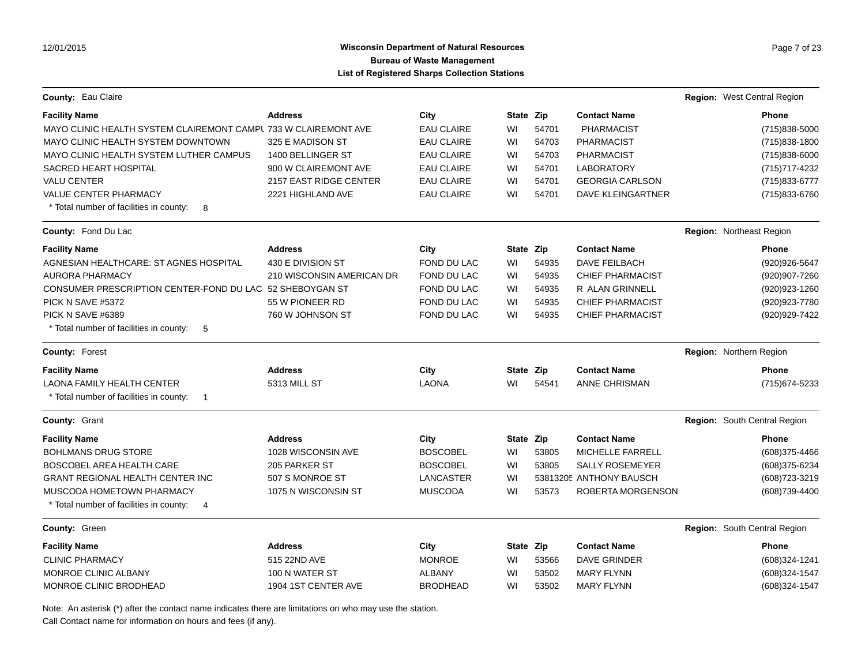### Wisconsin Department of Natural Resources **Page 7 of 23** Page 7 of 23 **Bureau of Waste Management List of Registered Sharps Collection Stations**

| County: Eau Claire                                              |                           |                   |           |       |                          | Region: West Central Region  |
|-----------------------------------------------------------------|---------------------------|-------------------|-----------|-------|--------------------------|------------------------------|
| <b>Facility Name</b>                                            | <b>Address</b>            | City              | State Zip |       | <b>Contact Name</b>      | <b>Phone</b>                 |
| MAYO CLINIC HEALTH SYSTEM CLAIREMONT CAMPL 733 W CLAIREMONT AVE |                           | <b>EAU CLAIRE</b> | WI        | 54701 | <b>PHARMACIST</b>        | (715)838-5000                |
| MAYO CLINIC HEALTH SYSTEM DOWNTOWN                              | 325 E MADISON ST          | <b>EAU CLAIRE</b> | WI        | 54703 | <b>PHARMACIST</b>        | (715)838-1800                |
| MAYO CLINIC HEALTH SYSTEM LUTHER CAMPUS                         | 1400 BELLINGER ST         | <b>EAU CLAIRE</b> | WI        | 54703 | <b>PHARMACIST</b>        | (715)838-6000                |
| <b>SACRED HEART HOSPITAL</b>                                    | 900 W CLAIREMONT AVE      | <b>EAU CLAIRE</b> | WI        | 54701 | <b>LABORATORY</b>        | (715) 717-4232               |
| <b>VALU CENTER</b>                                              | 2157 EAST RIDGE CENTER    | <b>EAU CLAIRE</b> | WI        | 54701 | <b>GEORGIA CARLSON</b>   | (715) 833-6777               |
| <b>VALUE CENTER PHARMACY</b>                                    | 2221 HIGHLAND AVE         | <b>EAU CLAIRE</b> | WI        | 54701 | <b>DAVE KLEINGARTNER</b> | (715) 833-6760               |
| * Total number of facilities in county:<br>8                    |                           |                   |           |       |                          |                              |
| <b>County: Fond Du Lac</b>                                      |                           |                   |           |       |                          | Region: Northeast Region     |
| <b>Facility Name</b>                                            | <b>Address</b>            | City              | State Zip |       | <b>Contact Name</b>      | <b>Phone</b>                 |
| AGNESIAN HEALTHCARE: ST AGNES HOSPITAL                          | 430 E DIVISION ST         | FOND DU LAC       | WI        | 54935 | <b>DAVE FEILBACH</b>     | (920) 926-5647               |
| AURORA PHARMACY                                                 | 210 WISCONSIN AMERICAN DR | FOND DU LAC       | WI        | 54935 | <b>CHIEF PHARMACIST</b>  | (920)907-7260                |
| CONSUMER PRESCRIPTION CENTER-FOND DU LAC 52 SHEBOYGAN ST        |                           | FOND DU LAC       | WI        | 54935 | R ALAN GRINNELL          | (920) 923-1260               |
| PICK N SAVE #5372                                               | 55 W PIONEER RD           | FOND DU LAC       | WI        | 54935 | <b>CHIEF PHARMACIST</b>  | (920) 923-7780               |
| PICK N SAVE #6389                                               | 760 W JOHNSON ST          | FOND DU LAC       | WI        | 54935 | <b>CHIEF PHARMACIST</b>  | (920) 929-7422               |
| * Total number of facilities in county:<br>-5                   |                           |                   |           |       |                          |                              |
| <b>County: Forest</b>                                           |                           |                   |           |       |                          | Region: Northern Region      |
| <b>Facility Name</b>                                            | <b>Address</b>            | City              | State Zip |       | <b>Contact Name</b>      | Phone                        |
| <b>LAONA FAMILY HEALTH CENTER</b>                               | 5313 MILL ST              | <b>LAONA</b>      | WI        | 54541 | ANNE CHRISMAN            | (715) 674-5233               |
| * Total number of facilities in county:<br>$\overline{1}$       |                           |                   |           |       |                          |                              |
| <b>County: Grant</b>                                            |                           |                   |           |       |                          | Region: South Central Region |
| <b>Facility Name</b>                                            | <b>Address</b>            | City              | State Zip |       | <b>Contact Name</b>      | Phone                        |
| <b>BOHLMANS DRUG STORE</b>                                      | 1028 WISCONSIN AVE        | <b>BOSCOBEL</b>   | WI        | 53805 | <b>MICHELLE FARRELL</b>  | (608) 375-4466               |
| BOSCOBEL AREA HEALTH CARE                                       | 205 PARKER ST             | <b>BOSCOBEL</b>   | WI        | 53805 | <b>SALLY ROSEMEYER</b>   | (608) 375-6234               |
| <b>GRANT REGIONAL HEALTH CENTER INC</b>                         | 507 S MONROE ST           | <b>LANCASTER</b>  | WI        |       | 53813205 ANTHONY BAUSCH  | (608) 723-3219               |
| MUSCODA HOMETOWN PHARMACY                                       | 1075 N WISCONSIN ST       | <b>MUSCODA</b>    | WI        | 53573 | ROBERTA MORGENSON        | (608) 739-4400               |
| * Total number of facilities in county:<br>4                    |                           |                   |           |       |                          |                              |
| County: Green                                                   |                           |                   |           |       |                          | Region: South Central Region |
| <b>Facility Name</b>                                            | <b>Address</b>            | City              | State Zip |       | <b>Contact Name</b>      | <b>Phone</b>                 |
| <b>CLINIC PHARMACY</b>                                          | 515 22ND AVE              | <b>MONROE</b>     | WI        | 53566 | DAVE GRINDER             | (608)324-1241                |
| MONROE CLINIC ALBANY                                            | 100 N WATER ST            | <b>ALBANY</b>     | WI        | 53502 | <b>MARY FLYNN</b>        | (608)324-1547                |
| MONROE CLINIC BRODHEAD                                          | 1904 1ST CENTER AVE       | <b>BRODHEAD</b>   | WI        | 53502 | <b>MARY FLYNN</b>        | $(608)324 - 1547$            |

Note: An asterisk (\*) after the contact name indicates there are limitations on who may use the station.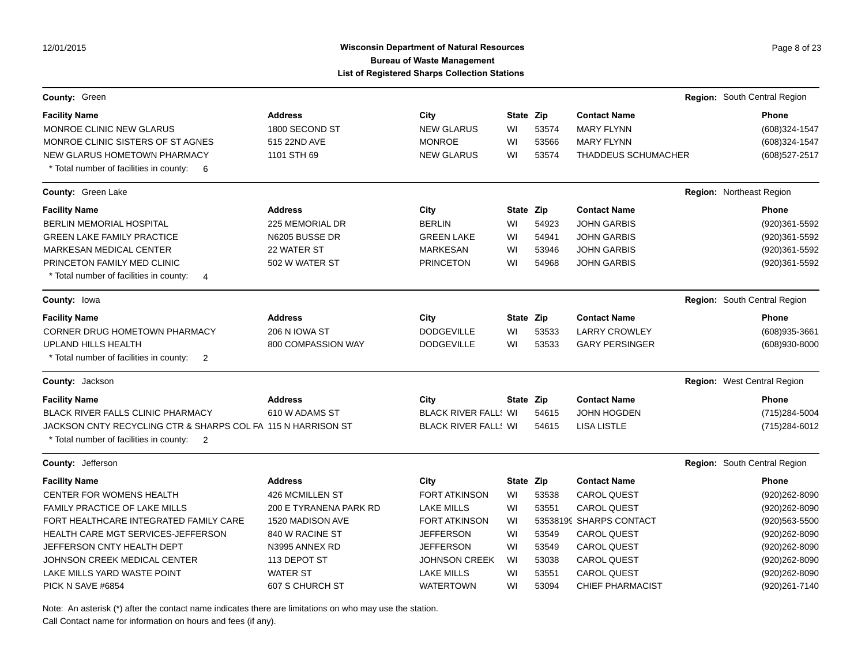# Wisconsin Department of Natural Resources **Page 8 of 23** Page 8 of 23 **Bureau of Waste Management List of Registered Sharps Collection Stations**

| County: Green                                                                                             |                        |                             |           |       |                            | Region: South Central Region |
|-----------------------------------------------------------------------------------------------------------|------------------------|-----------------------------|-----------|-------|----------------------------|------------------------------|
| <b>Facility Name</b>                                                                                      | <b>Address</b>         | City                        | State Zip |       | <b>Contact Name</b>        | Phone                        |
| <b>MONROE CLINIC NEW GLARUS</b>                                                                           | 1800 SECOND ST         | <b>NEW GLARUS</b>           | WI        | 53574 | <b>MARY FLYNN</b>          | (608)324-1547                |
| MONROE CLINIC SISTERS OF ST AGNES                                                                         | 515 22ND AVE           | <b>MONROE</b>               | WI        | 53566 | <b>MARY FLYNN</b>          | (608)324-1547                |
| NEW GLARUS HOMETOWN PHARMACY                                                                              | 1101 STH 69            | <b>NEW GLARUS</b>           | WI        | 53574 | <b>THADDEUS SCHUMACHER</b> | (608) 527-2517               |
| * Total number of facilities in county: 6                                                                 |                        |                             |           |       |                            |                              |
| County: Green Lake                                                                                        |                        |                             |           |       |                            | Region: Northeast Region     |
| <b>Facility Name</b>                                                                                      | <b>Address</b>         | City                        | State Zip |       | <b>Contact Name</b>        | <b>Phone</b>                 |
| <b>BERLIN MEMORIAL HOSPITAL</b>                                                                           | 225 MEMORIAL DR        | <b>BERLIN</b>               | WI        | 54923 | <b>JOHN GARBIS</b>         | (920)361-5592                |
| <b>GREEN LAKE FAMILY PRACTICE</b>                                                                         | N6205 BUSSE DR         | <b>GREEN LAKE</b>           | WI        | 54941 | <b>JOHN GARBIS</b>         | (920)361-5592                |
| MARKESAN MEDICAL CENTER                                                                                   | 22 WATER ST            | <b>MARKESAN</b>             | WI        | 53946 | <b>JOHN GARBIS</b>         | (920)361-5592                |
| PRINCETON FAMILY MED CLINIC                                                                               | 502 W WATER ST         | <b>PRINCETON</b>            | WI        | 54968 | <b>JOHN GARBIS</b>         | (920)361-5592                |
| * Total number of facilities in county:<br>$\overline{4}$                                                 |                        |                             |           |       |                            |                              |
| <b>County: lowa</b>                                                                                       |                        |                             |           |       |                            | Region: South Central Region |
| <b>Facility Name</b>                                                                                      | <b>Address</b>         | City                        | State Zip |       | <b>Contact Name</b>        | <b>Phone</b>                 |
| <b>CORNER DRUG HOMETOWN PHARMACY</b>                                                                      | 206 N IOWA ST          | <b>DODGEVILLE</b>           | WI        | 53533 | <b>LARRY CROWLEY</b>       | (608) 935-3661               |
| UPLAND HILLS HEALTH                                                                                       | 800 COMPASSION WAY     | <b>DODGEVILLE</b>           | WI        | 53533 | <b>GARY PERSINGER</b>      | $(608)930 - 8000$            |
| * Total number of facilities in county:<br>$\overline{2}$                                                 |                        |                             |           |       |                            |                              |
| <b>County: Jackson</b>                                                                                    |                        |                             |           |       |                            | Region: West Central Region  |
| <b>Facility Name</b>                                                                                      | <b>Address</b>         | City                        | State Zip |       | <b>Contact Name</b>        | <b>Phone</b>                 |
| <b>BLACK RIVER FALLS CLINIC PHARMACY</b>                                                                  | 610 W ADAMS ST         | <b>BLACK RIVER FALL: WI</b> |           | 54615 | <b>JOHN HOGDEN</b>         | (715) 284-5004               |
| JACKSON CNTY RECYCLING CTR & SHARPS COL FA 115 N HARRISON ST<br>* Total number of facilities in county: 2 |                        | <b>BLACK RIVER FALL: WI</b> |           | 54615 | <b>LISA LISTLE</b>         | (715) 284-6012               |
| County: Jefferson                                                                                         |                        |                             |           |       |                            | Region: South Central Region |
| <b>Facility Name</b>                                                                                      | <b>Address</b>         | City                        | State Zip |       | <b>Contact Name</b>        | <b>Phone</b>                 |
| <b>CENTER FOR WOMENS HEALTH</b>                                                                           | 426 MCMILLEN ST        | <b>FORT ATKINSON</b>        | WI        | 53538 | <b>CAROL QUEST</b>         | (920) 262-8090               |
| <b>FAMILY PRACTICE OF LAKE MILLS</b>                                                                      | 200 E TYRANENA PARK RD | <b>LAKE MILLS</b>           | WI        | 53551 | <b>CAROL QUEST</b>         | (920) 262-8090               |
| FORT HEALTHCARE INTEGRATED FAMILY CARE                                                                    | 1520 MADISON AVE       | <b>FORT ATKINSON</b>        | WI        |       | 53538199 SHARPS CONTACT    | (920) 563-5500               |
| HEALTH CARE MGT SERVICES-JEFFERSON                                                                        | 840 W RACINE ST        | <b>JEFFERSON</b>            | WI        | 53549 | <b>CAROL QUEST</b>         | (920) 262-8090               |
| JEFFERSON CNTY HEALTH DEPT                                                                                | N3995 ANNEX RD         | <b>JEFFERSON</b>            | WI        | 53549 | <b>CAROL QUEST</b>         | (920)262-8090                |
| JOHNSON CREEK MEDICAL CENTER                                                                              | 113 DEPOT ST           | <b>JOHNSON CREEK</b>        | WI        | 53038 | <b>CAROL QUEST</b>         | (920) 262-8090               |
| LAKE MILLS YARD WASTE POINT                                                                               | <b>WATER ST</b>        | <b>LAKE MILLS</b>           | WI        | 53551 | <b>CAROL QUEST</b>         | (920)262-8090                |
| PICK N SAVE #6854                                                                                         | 607 S CHURCH ST        | <b>WATERTOWN</b>            | WI        | 53094 | <b>CHIEF PHARMACIST</b>    | (920)261-7140                |

Note: An asterisk (\*) after the contact name indicates there are limitations on who may use the station.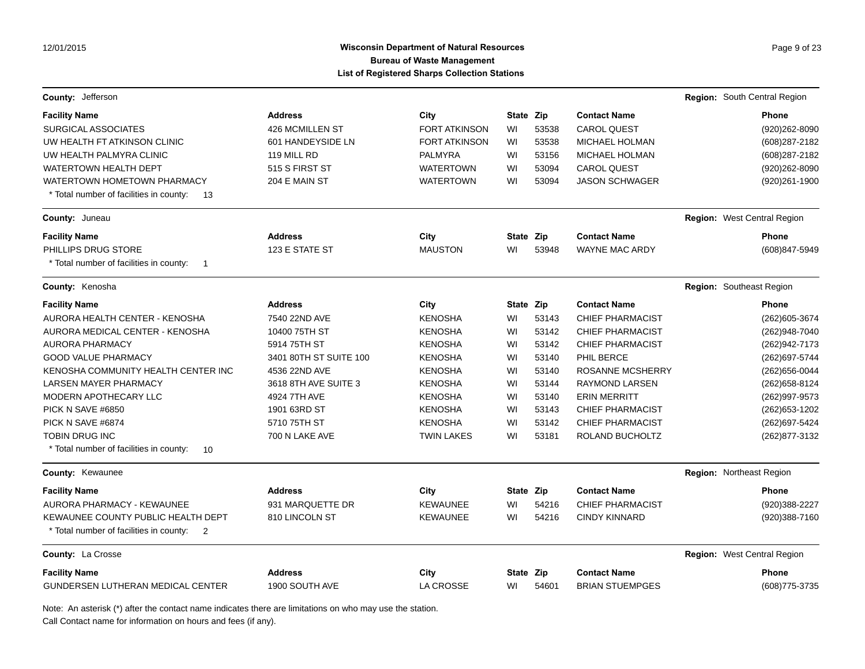# Wisconsin Department of Natural Resources **Page 9 of 23** Page 9 of 23 **Bureau of Waste Management List of Registered Sharps Collection Stations**

| <b>County: Jefferson</b>                                               |                        |                              |           |       |                         | Region: South Central Region |
|------------------------------------------------------------------------|------------------------|------------------------------|-----------|-------|-------------------------|------------------------------|
|                                                                        | <b>Address</b>         |                              | State Zip |       | <b>Contact Name</b>     | <b>Phone</b>                 |
| <b>Facility Name</b><br><b>SURGICAL ASSOCIATES</b>                     | 426 MCMILLEN ST        | City<br><b>FORT ATKINSON</b> | WI        | 53538 | <b>CAROL QUEST</b>      | (920) 262-8090               |
| UW HEALTH FT ATKINSON CLINIC                                           | 601 HANDEYSIDE LN      | <b>FORT ATKINSON</b>         | WI        | 53538 | <b>MICHAEL HOLMAN</b>   | (608) 287-2182               |
| UW HEALTH PALMYRA CLINIC                                               | 119 MILL RD            | <b>PALMYRA</b>               | WI        | 53156 | MICHAEL HOLMAN          | (608) 287-2182               |
| <b>WATERTOWN HEALTH DEPT</b>                                           | 515 S FIRST ST         | <b>WATERTOWN</b>             | WI        | 53094 | <b>CAROL QUEST</b>      | (920) 262-8090               |
| WATERTOWN HOMETOWN PHARMACY                                            | 204 E MAIN ST          | <b>WATERTOWN</b>             | WI        | 53094 | <b>JASON SCHWAGER</b>   | (920) 261-1900               |
| * Total number of facilities in county:<br>13                          |                        |                              |           |       |                         |                              |
| <b>County: Juneau</b>                                                  |                        |                              |           |       |                         | Region: West Central Region  |
| <b>Facility Name</b>                                                   | <b>Address</b>         | City                         | State Zip |       | <b>Contact Name</b>     | <b>Phone</b>                 |
| PHILLIPS DRUG STORE                                                    | 123 E STATE ST         | <b>MAUSTON</b>               | WI        | 53948 | <b>WAYNE MAC ARDY</b>   | (608)847-5949                |
| * Total number of facilities in county:<br>$\overline{1}$              |                        |                              |           |       |                         |                              |
| County: Kenosha                                                        |                        |                              |           |       |                         | Region: Southeast Region     |
| <b>Facility Name</b>                                                   | <b>Address</b>         | City                         | State Zip |       | <b>Contact Name</b>     | <b>Phone</b>                 |
| <b>AURORA HEALTH CENTER - KENOSHA</b>                                  | 7540 22ND AVE          | <b>KENOSHA</b>               | WI        | 53143 | <b>CHIEF PHARMACIST</b> | (262) 605-3674               |
| AURORA MEDICAL CENTER - KENOSHA                                        | 10400 75TH ST          | <b>KENOSHA</b>               | WI        | 53142 | <b>CHIEF PHARMACIST</b> | (262)948-7040                |
| <b>AURORA PHARMACY</b>                                                 | 5914 75TH ST           | <b>KENOSHA</b>               | WI        | 53142 | <b>CHIEF PHARMACIST</b> | (262) 942-7173               |
| <b>GOOD VALUE PHARMACY</b>                                             | 3401 80TH ST SUITE 100 | <b>KENOSHA</b>               | WI        | 53140 | PHIL BERCE              | (262) 697-5744               |
| KENOSHA COMMUNITY HEALTH CENTER INC                                    | 4536 22ND AVE          | <b>KENOSHA</b>               | WI        | 53140 | <b>ROSANNE MCSHERRY</b> | (262) 656-0044               |
| <b>LARSEN MAYER PHARMACY</b>                                           | 3618 8TH AVE SUITE 3   | <b>KENOSHA</b>               | WI        | 53144 | <b>RAYMOND LARSEN</b>   | (262) 658-8124               |
| MODERN APOTHECARY LLC                                                  | 4924 7TH AVE           | <b>KENOSHA</b>               | WI        | 53140 | <b>ERIN MERRITT</b>     | (262)997-9573                |
| PICK N SAVE #6850                                                      | 1901 63RD ST           | <b>KENOSHA</b>               | WI        | 53143 | <b>CHIEF PHARMACIST</b> | (262) 653-1202               |
| PICK N SAVE #6874                                                      | 5710 75TH ST           | <b>KENOSHA</b>               | WI        | 53142 | <b>CHIEF PHARMACIST</b> | (262) 697-5424               |
| <b>TOBIN DRUG INC</b><br>* Total number of facilities in county:<br>10 | 700 N LAKE AVE         | <b>TWIN LAKES</b>            | WI        | 53181 | ROLAND BUCHOLTZ         | (262) 877-3132               |
| County: Kewaunee                                                       |                        |                              |           |       |                         | Region: Northeast Region     |
| <b>Facility Name</b>                                                   | <b>Address</b>         | City                         | State Zip |       | <b>Contact Name</b>     | <b>Phone</b>                 |
| <b>AURORA PHARMACY - KEWAUNEE</b>                                      | 931 MARQUETTE DR       | <b>KEWAUNEE</b>              | WI        | 54216 | <b>CHIEF PHARMACIST</b> | (920)388-2227                |
| KEWAUNEE COUNTY PUBLIC HEALTH DEPT                                     | 810 LINCOLN ST         | <b>KEWAUNEE</b>              | WI        | 54216 | <b>CINDY KINNARD</b>    | (920)388-7160                |
| * Total number of facilities in county:<br>$\overline{2}$              |                        |                              |           |       |                         |                              |
| County: La Crosse                                                      |                        |                              |           |       |                         | Region: West Central Region  |
| <b>Facility Name</b>                                                   | <b>Address</b>         | City                         | State Zip |       | <b>Contact Name</b>     | <b>Phone</b>                 |
| <b>GUNDERSEN LUTHERAN MEDICAL CENTER</b>                               | 1900 SOUTH AVE         | <b>LA CROSSE</b>             | WI        | 54601 | <b>BRIAN STUEMPGES</b>  | (608) 775-3735               |

Note: An asterisk (\*) after the contact name indicates there are limitations on who may use the station.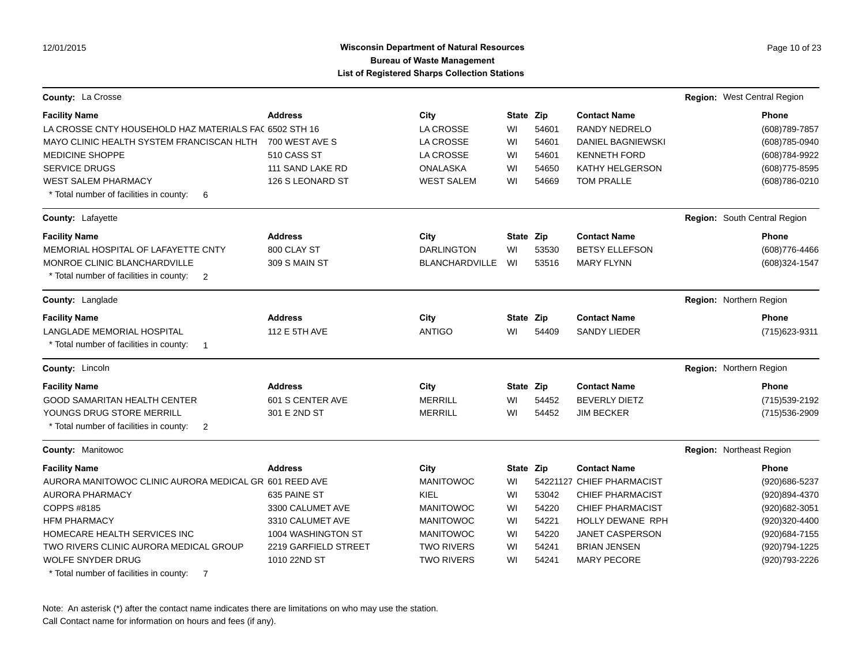## **Wisconsin Department of Natural Resources Page 10 of 23 Page 10 of 23 Bureau of Waste Management List of Registered Sharps Collection Stations**

| <b>County: La Crosse</b>                                  |                      |                       |           |       |                           | Region: West Central Region |                              |
|-----------------------------------------------------------|----------------------|-----------------------|-----------|-------|---------------------------|-----------------------------|------------------------------|
| <b>Facility Name</b>                                      | <b>Address</b>       | City                  | State Zip |       | <b>Contact Name</b>       |                             | <b>Phone</b>                 |
| LA CROSSE CNTY HOUSEHOLD HAZ MATERIALS FA( 6502 STH 16    |                      | <b>LA CROSSE</b>      | WI        | 54601 | <b>RANDY NEDRELO</b>      |                             | (608) 789-7857               |
| MAYO CLINIC HEALTH SYSTEM FRANCISCAN HLTH                 | 700 WEST AVE S       | LA CROSSE             | WI        | 54601 | <b>DANIEL BAGNIEWSKI</b>  |                             | (608) 785-0940               |
| <b>MEDICINE SHOPPE</b>                                    | 510 CASS ST          | <b>LA CROSSE</b>      | WI        | 54601 | <b>KENNETH FORD</b>       |                             | (608) 784-9922               |
| <b>SERVICE DRUGS</b>                                      | 111 SAND LAKE RD     | <b>ONALASKA</b>       | WI        | 54650 | KATHY HELGERSON           |                             | $(608)775 - 8595$            |
| WEST SALEM PHARMACY                                       | 126 S LEONARD ST     | <b>WEST SALEM</b>     | WI        | 54669 | <b>TOM PRALLE</b>         |                             | (608) 786-0210               |
| * Total number of facilities in county:<br>6              |                      |                       |           |       |                           |                             |                              |
| County: Lafayette                                         |                      |                       |           |       |                           |                             | Region: South Central Region |
| <b>Facility Name</b>                                      | <b>Address</b>       | City                  | State Zip |       | <b>Contact Name</b>       |                             | <b>Phone</b>                 |
| MEMORIAL HOSPITAL OF LAFAYETTE CNTY                       | 800 CLAY ST          | <b>DARLINGTON</b>     | WI        | 53530 | <b>BETSY ELLEFSON</b>     |                             | (608) 776-4466               |
| <b>MONROE CLINIC BLANCHARDVILLE</b>                       | 309 S MAIN ST        | <b>BLANCHARDVILLE</b> | WI        | 53516 | <b>MARY FLYNN</b>         |                             | (608)324-1547                |
| * Total number of facilities in county:<br>$\overline{2}$ |                      |                       |           |       |                           |                             |                              |
| <b>County: Langlade</b>                                   |                      |                       |           |       |                           | Region: Northern Region     |                              |
| <b>Facility Name</b>                                      | <b>Address</b>       | City                  | State Zip |       | <b>Contact Name</b>       |                             | <b>Phone</b>                 |
| LANGLADE MEMORIAL HOSPITAL                                | 112 E 5TH AVE        | <b>ANTIGO</b>         | WI        | 54409 | <b>SANDY LIEDER</b>       |                             | (715) 623-9311               |
| * Total number of facilities in county:<br>-1             |                      |                       |           |       |                           |                             |                              |
| County: Lincoln                                           |                      |                       |           |       |                           | Region: Northern Region     |                              |
| <b>Facility Name</b>                                      | <b>Address</b>       | City                  | State Zip |       | <b>Contact Name</b>       |                             | <b>Phone</b>                 |
| <b>GOOD SAMARITAN HEALTH CENTER</b>                       | 601 S CENTER AVE     | <b>MERRILL</b>        | WI        | 54452 | <b>BEVERLY DIETZ</b>      |                             | (715) 539-2192               |
| YOUNGS DRUG STORE MERRILL                                 | 301 E 2ND ST         | <b>MERRILL</b>        | WI        | 54452 | <b>JIM BECKER</b>         |                             | (715) 536-2909               |
| * Total number of facilities in county:<br>$\overline{2}$ |                      |                       |           |       |                           |                             |                              |
| <b>County: Manitowoc</b>                                  |                      |                       |           |       |                           | Region: Northeast Region    |                              |
| <b>Facility Name</b>                                      | <b>Address</b>       | City                  | State Zip |       | <b>Contact Name</b>       |                             | <b>Phone</b>                 |
| AURORA MANITOWOC CLINIC AURORA MEDICAL GR 601 REED AVE    |                      | <b>MANITOWOC</b>      | WI        |       | 54221127 CHIEF PHARMACIST |                             | (920) 686-5237               |
| <b>AURORA PHARMACY</b>                                    | 635 PAINE ST         | KIEL                  | WI        | 53042 | <b>CHIEF PHARMACIST</b>   |                             | (920)894-4370                |
| COPPS #8185                                               | 3300 CALUMET AVE     | <b>MANITOWOC</b>      | WI        | 54220 | <b>CHIEF PHARMACIST</b>   |                             | (920) 682-3051               |
| <b>HFM PHARMACY</b>                                       | 3310 CALUMET AVE     | <b>MANITOWOC</b>      | WI        | 54221 | HOLLY DEWANE RPH          |                             | (920)320-4400                |
| HOMECARE HEALTH SERVICES INC                              | 1004 WASHINGTON ST   | <b>MANITOWOC</b>      | WI        | 54220 | JANET CASPERSON           |                             | (920) 684-7155               |
| TWO RIVERS CLINIC AURORA MEDICAL GROUP                    | 2219 GARFIELD STREET | <b>TWO RIVERS</b>     | WI        | 54241 | <b>BRIAN JENSEN</b>       |                             | (920)794-1225                |
| <b>WOLFE SNYDER DRUG</b>                                  | 1010 22ND ST         | <b>TWO RIVERS</b>     | WI        | 54241 | <b>MARY PECORE</b>        |                             | (920) 793-2226               |
| * Total number of facilities in county:<br>-7             |                      |                       |           |       |                           |                             |                              |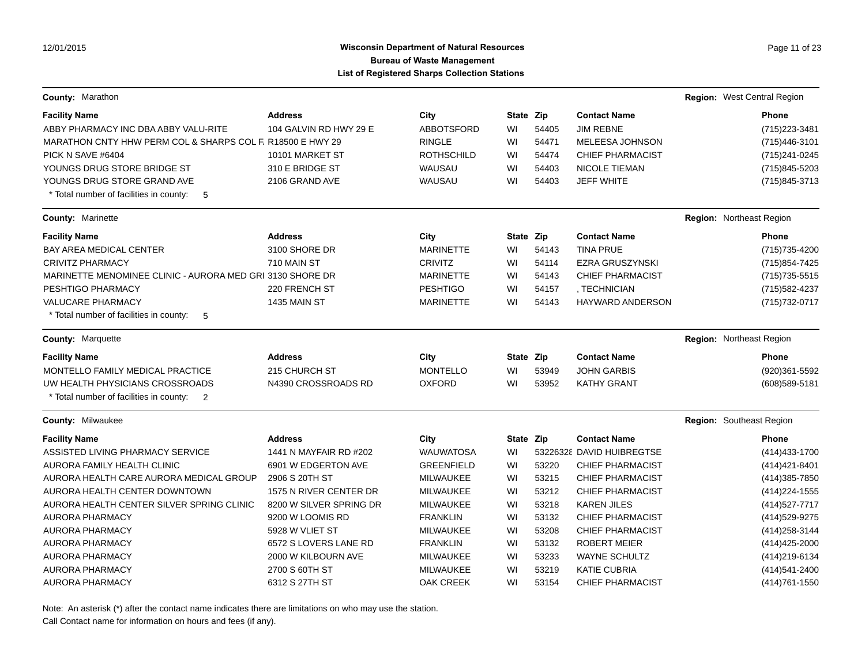# **Wisconsin Department of Natural Resources Page 11 of 23 Page 11 of 23 Bureau of Waste Management List of Registered Sharps Collection Stations**

| County: Marathon                                           |                         |                   |           |       |                           | Region: West Central Region |
|------------------------------------------------------------|-------------------------|-------------------|-----------|-------|---------------------------|-----------------------------|
| <b>Facility Name</b>                                       | <b>Address</b>          | City              | State Zip |       | <b>Contact Name</b>       | Phone                       |
| ABBY PHARMACY INC DBA ABBY VALU-RITE                       | 104 GALVIN RD HWY 29 E  | <b>ABBOTSFORD</b> | WI        | 54405 | <b>JIM REBNE</b>          | (715) 223-3481              |
| MARATHON CNTY HHW PERM COL & SHARPS COL F, R18500 E HWY 29 |                         | <b>RINGLE</b>     | WI        | 54471 | MELEESA JOHNSON           | (715) 446-3101              |
| PICK N SAVE #6404                                          | 10101 MARKET ST         | <b>ROTHSCHILD</b> | WI        | 54474 | <b>CHIEF PHARMACIST</b>   | (715) 241-0245              |
| YOUNGS DRUG STORE BRIDGE ST                                | 310 E BRIDGE ST         | WAUSAU            | WI        | 54403 | <b>NICOLE TIEMAN</b>      | (715) 845-5203              |
| YOUNGS DRUG STORE GRAND AVE                                | 2106 GRAND AVE          | WAUSAU            | WI        | 54403 | <b>JEFF WHITE</b>         | (715) 845-3713              |
| * Total number of facilities in county:<br>- 5             |                         |                   |           |       |                           |                             |
| <b>County: Marinette</b>                                   |                         |                   |           |       |                           | Region: Northeast Region    |
| <b>Facility Name</b>                                       | <b>Address</b>          | City              | State Zip |       | <b>Contact Name</b>       | <b>Phone</b>                |
| BAY AREA MEDICAL CENTER                                    | 3100 SHORE DR           | <b>MARINETTE</b>  | WI        | 54143 | <b>TINA PRUE</b>          | (715) 735-4200              |
| <b>CRIVITZ PHARMACY</b>                                    | 710 MAIN ST             | <b>CRIVITZ</b>    | WI        | 54114 | <b>EZRA GRUSZYNSKI</b>    | (715) 854-7425              |
| MARINETTE MENOMINEE CLINIC - AURORA MED GRI 3130 SHORE DR  |                         | <b>MARINETTE</b>  | WI        | 54143 | <b>CHIEF PHARMACIST</b>   | (715) 735-5515              |
| PESHTIGO PHARMACY                                          | 220 FRENCH ST           | <b>PESHTIGO</b>   | WI        | 54157 | . TECHNICIAN              | (715) 582-4237              |
| <b>VALUCARE PHARMACY</b>                                   | 1435 MAIN ST            | <b>MARINETTE</b>  | WI        | 54143 | <b>HAYWARD ANDERSON</b>   | (715) 732-0717              |
| * Total number of facilities in county:<br>-5              |                         |                   |           |       |                           |                             |
| <b>County: Marquette</b>                                   |                         |                   |           |       |                           | Region: Northeast Region    |
| <b>Facility Name</b>                                       | <b>Address</b>          | City              | State Zip |       | <b>Contact Name</b>       | <b>Phone</b>                |
| MONTELLO FAMILY MEDICAL PRACTICE                           | 215 CHURCH ST           | <b>MONTELLO</b>   | WI        | 53949 | <b>JOHN GARBIS</b>        | (920)361-5592               |
| UW HEALTH PHYSICIANS CROSSROADS                            | N4390 CROSSROADS RD     | <b>OXFORD</b>     | WI        | 53952 | <b>KATHY GRANT</b>        | (608) 589-5181              |
| * Total number of facilities in county: 2                  |                         |                   |           |       |                           |                             |
| <b>County: Milwaukee</b>                                   |                         |                   |           |       |                           | Region: Southeast Region    |
| <b>Facility Name</b>                                       | <b>Address</b>          | City              | State Zip |       | <b>Contact Name</b>       | Phone                       |
| ASSISTED LIVING PHARMACY SERVICE                           | 1441 N MAYFAIR RD #202  | <b>WAUWATOSA</b>  | WI        |       | 53226328 DAVID HUIBREGTSE | (414) 433-1700              |
| AURORA FAMILY HEALTH CLINIC                                | 6901 W EDGERTON AVE     | <b>GREENFIELD</b> | WI        | 53220 | <b>CHIEF PHARMACIST</b>   | (414) 421-8401              |
| AURORA HEALTH CARE AURORA MEDICAL GROUP                    | 2906 S 20TH ST          | <b>MILWAUKEE</b>  | WI        | 53215 | <b>CHIEF PHARMACIST</b>   | (414) 385-7850              |
| AURORA HEALTH CENTER DOWNTOWN                              | 1575 N RIVER CENTER DR  | <b>MILWAUKEE</b>  | WI        | 53212 | <b>CHIEF PHARMACIST</b>   | (414) 224-1555              |
| AURORA HEALTH CENTER SILVER SPRING CLINIC                  | 8200 W SILVER SPRING DR | <b>MILWAUKEE</b>  | WI        | 53218 | <b>KAREN JILES</b>        | (414) 527-7717              |
| <b>AURORA PHARMACY</b>                                     | 9200 W LOOMIS RD        | <b>FRANKLIN</b>   | WI        | 53132 | <b>CHIEF PHARMACIST</b>   | (414) 529-9275              |
| <b>AURORA PHARMACY</b>                                     | 5928 W VLIET ST         | <b>MILWAUKEE</b>  | WI        | 53208 | <b>CHIEF PHARMACIST</b>   | (414) 258-3144              |
| <b>AURORA PHARMACY</b>                                     | 6572 S LOVERS LANE RD   | <b>FRANKLIN</b>   | WI        | 53132 | <b>ROBERT MEIER</b>       | (414) 425-2000              |
| <b>AURORA PHARMACY</b>                                     | 2000 W KILBOURN AVE     | <b>MILWAUKEE</b>  | WI        | 53233 | <b>WAYNE SCHULTZ</b>      | (414) 219-6134              |
| <b>AURORA PHARMACY</b>                                     | 2700 S 60TH ST          | <b>MILWAUKEE</b>  | WI        | 53219 | <b>KATIE CUBRIA</b>       | (414) 541-2400              |
| AURORA PHARMACY                                            | 6312 S 27TH ST          | <b>OAK CREEK</b>  | WI        | 53154 | <b>CHIEF PHARMACIST</b>   | (414) 761-1550              |

Note: An asterisk (\*) after the contact name indicates there are limitations on who may use the station.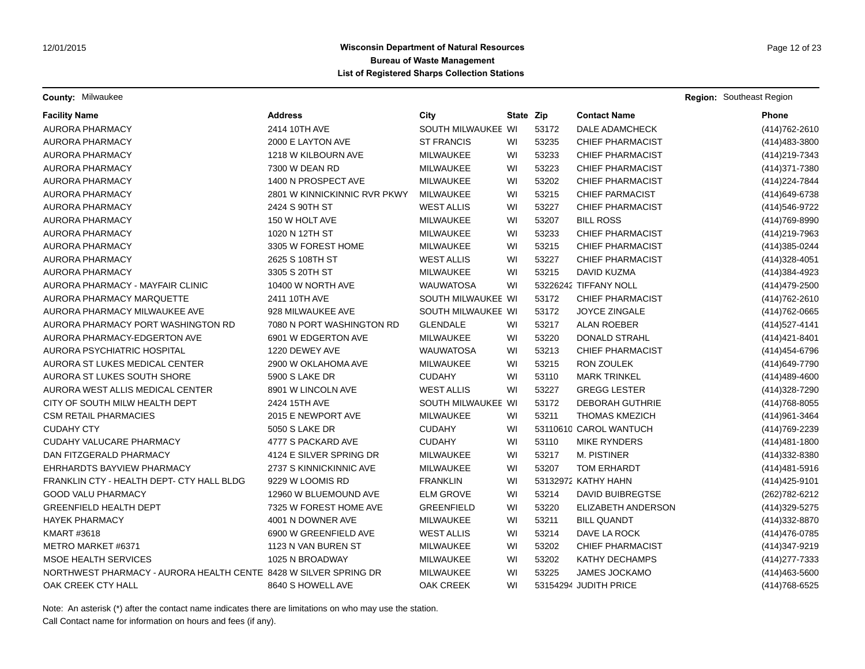**County:** Milwaukee **Region:** Southeast Region **Region:** Southeast Region **Region:** Southeast Region

| <b>Facility Name</b>                                             | <b>Address</b>               | City               | State Zip |       | <b>Contact Name</b>     | <b>Phone</b>      |
|------------------------------------------------------------------|------------------------------|--------------------|-----------|-------|-------------------------|-------------------|
| <b>AURORA PHARMACY</b>                                           | 2414 10TH AVE                | SOUTH MILWAUKEE WI |           | 53172 | DALE ADAMCHECK          | (414) 762-2610    |
| <b>AURORA PHARMACY</b>                                           | 2000 E LAYTON AVE            | <b>ST FRANCIS</b>  | WI        | 53235 | <b>CHIEF PHARMACIST</b> | (414) 483-3800    |
| <b>AURORA PHARMACY</b>                                           | 1218 W KILBOURN AVE          | MILWAUKEE          | WI        | 53233 | <b>CHIEF PHARMACIST</b> | (414) 219-7343    |
| AURORA PHARMACY                                                  | 7300 W DEAN RD               | <b>MILWAUKEE</b>   | WI        | 53223 | <b>CHIEF PHARMACIST</b> | (414) 371-7380    |
| <b>AURORA PHARMACY</b>                                           | 1400 N PROSPECT AVE          | MILWAUKEE          | WI        | 53202 | <b>CHIEF PHARMACIST</b> | (414) 224-7844    |
| AURORA PHARMACY                                                  | 2801 W KINNICKINNIC RVR PKWY | MILWAUKEE          | WI        | 53215 | <b>CHIEF PARMACIST</b>  | (414) 649-6738    |
| <b>AURORA PHARMACY</b>                                           | 2424 S 90TH ST               | <b>WEST ALLIS</b>  | WI        | 53227 | <b>CHIEF PHARMACIST</b> | (414) 546-9722    |
| <b>AURORA PHARMACY</b>                                           | 150 W HOLT AVE               | MILWAUKEE          | WI        | 53207 | <b>BILL ROSS</b>        | (414) 769-8990    |
| AURORA PHARMACY                                                  | 1020 N 12TH ST               | MILWAUKEE          | WI        | 53233 | <b>CHIEF PHARMACIST</b> | (414) 219-7963    |
| <b>AURORA PHARMACY</b>                                           | 3305 W FOREST HOME           | MILWAUKEE          | WI        | 53215 | <b>CHIEF PHARMACIST</b> | (414) 385-0244    |
| AURORA PHARMACY                                                  | 2625 S 108TH ST              | <b>WEST ALLIS</b>  | WI        | 53227 | <b>CHIEF PHARMACIST</b> | (414) 328-4051    |
| <b>AURORA PHARMACY</b>                                           | 3305 S 20TH ST               | MILWAUKEE          | WI        | 53215 | DAVID KUZMA             | (414) 384-4923    |
| AURORA PHARMACY - MAYFAIR CLINIC                                 | 10400 W NORTH AVE            | <b>WAUWATOSA</b>   | WI        |       | 53226242 TIFFANY NOLL   | (414) 479-2500    |
| AURORA PHARMACY MARQUETTE                                        | 2411 10TH AVE                | SOUTH MILWAUKEE WI |           | 53172 | <b>CHIEF PHARMACIST</b> | (414) 762-2610    |
| AURORA PHARMACY MILWAUKEE AVE                                    | 928 MILWAUKEE AVE            | SOUTH MILWAUKEE WI |           | 53172 | JOYCE ZINGALE           | (414) 762-0665    |
| AURORA PHARMACY PORT WASHINGTON RD                               | 7080 N PORT WASHINGTON RD    | <b>GLENDALE</b>    | WI        | 53217 | <b>ALAN ROEBER</b>      | (414) 527-4141    |
| AURORA PHARMACY-EDGERTON AVE                                     | 6901 W EDGERTON AVE          | <b>MILWAUKEE</b>   | WI        | 53220 | <b>DONALD STRAHL</b>    | (414) 421-8401    |
| AURORA PSYCHIATRIC HOSPITAL                                      | 1220 DEWEY AVE               | <b>WAUWATOSA</b>   | WI        | 53213 | <b>CHIEF PHARMACIST</b> | (414) 454-6796    |
| AURORA ST LUKES MEDICAL CENTER                                   | 2900 W OKLAHOMA AVE          | <b>MILWAUKEE</b>   | WI        | 53215 | <b>RON ZOULEK</b>       | (414) 649-7790    |
| AURORA ST LUKES SOUTH SHORE                                      | 5900 S LAKE DR               | <b>CUDAHY</b>      | WI        | 53110 | <b>MARK TRINKEL</b>     | (414) 489-4600    |
| AURORA WEST ALLIS MEDICAL CENTER                                 | 8901 W LINCOLN AVE           | <b>WEST ALLIS</b>  | WI        | 53227 | <b>GREGG LESTER</b>     | (414) 328-7290    |
| CITY OF SOUTH MILW HEALTH DEPT                                   | 2424 15TH AVE                | SOUTH MILWAUKEE WI |           | 53172 | <b>DEBORAH GUTHRIE</b>  | (414) 768-8055    |
| <b>CSM RETAIL PHARMACIES</b>                                     | 2015 E NEWPORT AVE           | MILWAUKEE          | WI        | 53211 | <b>THOMAS KMEZICH</b>   | (414) 961-3464    |
| <b>CUDAHY CTY</b>                                                | <b>5050 S LAKE DR</b>        | <b>CUDAHY</b>      | WI        |       | 53110610 CAROL WANTUCH  | (414) 769-2239    |
| CUDAHY VALUCARE PHARMACY                                         | 4777 S PACKARD AVE           | <b>CUDAHY</b>      | WI        | 53110 | <b>MIKE RYNDERS</b>     | $(414)481 - 1800$ |
| DAN FITZGERALD PHARMACY                                          | 4124 E SILVER SPRING DR      | MILWAUKEE          | WI        | 53217 | <b>M. PISTINER</b>      | (414) 332-8380    |
| EHRHARDTS BAYVIEW PHARMACY                                       | 2737 S KINNICKINNIC AVE      | <b>MILWAUKEE</b>   | WI        | 53207 | TOM ERHARDT             | (414) 481-5916    |
| FRANKLIN CTY - HEALTH DEPT- CTY HALL BLDG                        | 9229 W LOOMIS RD             | <b>FRANKLIN</b>    | WI        |       | 53132972 KATHY HAHN     | (414) 425-9101    |
| <b>GOOD VALU PHARMACY</b>                                        | 12960 W BLUEMOUND AVE        | <b>ELM GROVE</b>   | WI        | 53214 | DAVID BUIBREGTSE        | (262) 782-6212    |
| <b>GREENFIELD HEALTH DEPT</b>                                    | 7325 W FOREST HOME AVE       | <b>GREENFIELD</b>  | WI        | 53220 | ELIZABETH ANDERSON      | (414) 329-5275    |
| <b>HAYEK PHARMACY</b>                                            | 4001 N DOWNER AVE            | MILWAUKEE          | WI        | 53211 | <b>BILL QUANDT</b>      | (414) 332-8870    |
| <b>KMART #3618</b>                                               | 6900 W GREENFIELD AVE        | <b>WEST ALLIS</b>  | WI        | 53214 | DAVE LA ROCK            | (414) 476-0785    |
| METRO MARKET #6371                                               | 1123 N VAN BUREN ST          | MILWAUKEE          | WI        | 53202 | <b>CHIEF PHARMACIST</b> | (414) 347-9219    |
| <b>MSOE HEALTH SERVICES</b>                                      | 1025 N BROADWAY              | MILWAUKEE          | WI        | 53202 | <b>KATHY DECHAMPS</b>   | (414) 277-7333    |
| NORTHWEST PHARMACY - AURORA HEALTH CENTE 8428 W SILVER SPRING DR |                              | MILWAUKEE          | WI        | 53225 | <b>JAMES JOCKAMO</b>    | (414) 463-5600    |
| OAK CREEK CTY HALL                                               | 8640 S HOWELL AVE            | <b>OAK CREEK</b>   | WI        |       | 53154294 JUDITH PRICE   | (414) 768-6525    |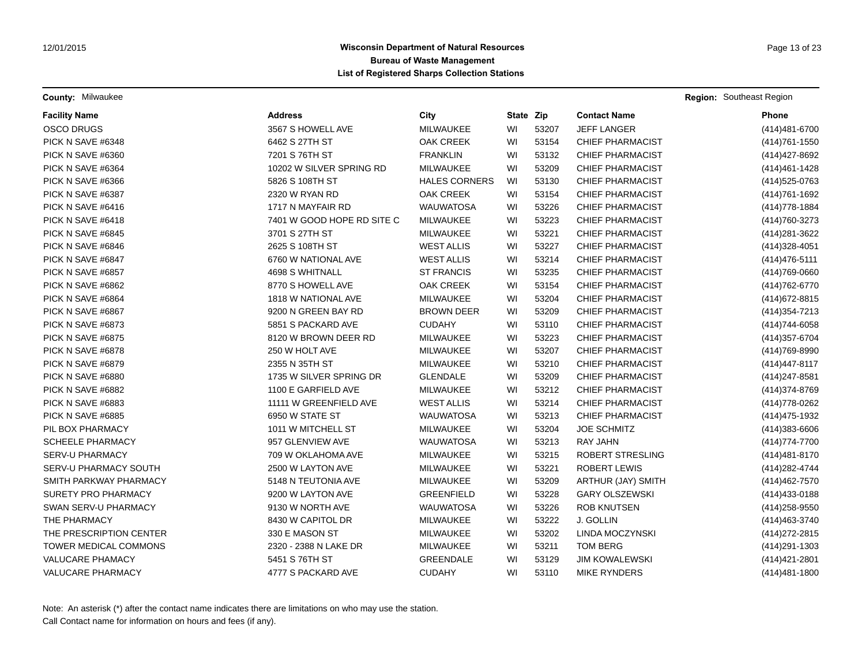**County:** Milwaukee **Region:** Southeast Region **Region:** Southeast Region **Region:** Southeast Region

| <b>Facility Name</b>         | <b>Address</b>             | City                 | State Zip |       | <b>Contact Name</b>     | <b>Phone</b>     |
|------------------------------|----------------------------|----------------------|-----------|-------|-------------------------|------------------|
| <b>OSCO DRUGS</b>            | 3567 S HOWELL AVE          | MILWAUKEE            | WI        | 53207 | JEFF LANGER             | (414) 481-6700   |
| PICK N SAVE #6348            | 6462 S 27TH ST             | <b>OAK CREEK</b>     | WI        | 53154 | <b>CHIEF PHARMACIST</b> | (414) 761-1550   |
| PICK N SAVE #6360            | 7201 S 76TH ST             | <b>FRANKLIN</b>      | WI        | 53132 | <b>CHIEF PHARMACIST</b> | (414) 427-8692   |
| PICK N SAVE #6364            | 10202 W SILVER SPRING RD   | MILWAUKEE            | WI        | 53209 | <b>CHIEF PHARMACIST</b> | (414) 461 - 1428 |
| PICK N SAVE #6366            | 5826 S 108TH ST            | <b>HALES CORNERS</b> | WI        | 53130 | <b>CHIEF PHARMACIST</b> | (414) 525-0763   |
| PICK N SAVE #6387            | 2320 W RYAN RD             | <b>OAK CREEK</b>     | WI        | 53154 | <b>CHIEF PHARMACIST</b> | (414) 761-1692   |
| PICK N SAVE #6416            | 1717 N MAYFAIR RD          | <b>WAUWATOSA</b>     | WI        | 53226 | <b>CHIEF PHARMACIST</b> | (414) 778-1884   |
| PICK N SAVE #6418            | 7401 W GOOD HOPE RD SITE C | MILWAUKEE            | WI        | 53223 | <b>CHIEF PHARMACIST</b> | (414) 760-3273   |
| PICK N SAVE #6845            | 3701 S 27TH ST             | MILWAUKEE            | WI        | 53221 | <b>CHIEF PHARMACIST</b> | (414) 281-3622   |
| PICK N SAVE #6846            | 2625 S 108TH ST            | <b>WEST ALLIS</b>    | WI        | 53227 | <b>CHIEF PHARMACIST</b> | (414) 328-4051   |
| PICK N SAVE #6847            | 6760 W NATIONAL AVE        | <b>WEST ALLIS</b>    | WI        | 53214 | <b>CHIEF PHARMACIST</b> | (414) 476-5111   |
| PICK N SAVE #6857            | 4698 S WHITNALL            | <b>ST FRANCIS</b>    | WI        | 53235 | <b>CHIEF PHARMACIST</b> | (414) 769-0660   |
| PICK N SAVE #6862            | 8770 S HOWELL AVE          | OAK CREEK            | WI        | 53154 | <b>CHIEF PHARMACIST</b> | (414) 762-6770   |
| PICK N SAVE #6864            | 1818 W NATIONAL AVE        | MILWAUKEE            | WI        | 53204 | <b>CHIEF PHARMACIST</b> | (414) 672-8815   |
| PICK N SAVE #6867            | 9200 N GREEN BAY RD        | <b>BROWN DEER</b>    | WI        | 53209 | <b>CHIEF PHARMACIST</b> | (414) 354-7213   |
| PICK N SAVE #6873            | 5851 S PACKARD AVE         | <b>CUDAHY</b>        | WI        | 53110 | CHIEF PHARMACIST        | (414) 744-6058   |
| PICK N SAVE #6875            | 8120 W BROWN DEER RD       | MILWAUKEE            | WI        | 53223 | <b>CHIEF PHARMACIST</b> | (414) 357-6704   |
| PICK N SAVE #6878            | 250 W HOLT AVE             | MILWAUKEE            | WI        | 53207 | <b>CHIEF PHARMACIST</b> | (414) 769-8990   |
| PICK N SAVE #6879            | 2355 N 35TH ST             | MILWAUKEE            | WI        | 53210 | <b>CHIEF PHARMACIST</b> | (414) 447-8117   |
| PICK N SAVE #6880            | 1735 W SILVER SPRING DR    | <b>GLENDALE</b>      | WI        | 53209 | <b>CHIEF PHARMACIST</b> | (414) 247-8581   |
| PICK N SAVE #6882            | 1100 E GARFIELD AVE        | MILWAUKEE            | WI        | 53212 | <b>CHIEF PHARMACIST</b> | (414) 374-8769   |
| PICK N SAVE #6883            | 11111 W GREENFIELD AVE     | <b>WEST ALLIS</b>    | WI        | 53214 | <b>CHIEF PHARMACIST</b> | (414) 778-0262   |
| PICK N SAVE #6885            | 6950 W STATE ST            | <b>WAUWATOSA</b>     | WI        | 53213 | <b>CHIEF PHARMACIST</b> | (414) 475-1932   |
| PIL BOX PHARMACY             | 1011 W MITCHELL ST         | MILWAUKEE            | WI        | 53204 | <b>JOE SCHMITZ</b>      | (414) 383-6606   |
| <b>SCHEELE PHARMACY</b>      | 957 GLENVIEW AVE           | <b>WAUWATOSA</b>     | WI        | 53213 | <b>RAY JAHN</b>         | (414) 774-7700   |
| <b>SERV-U PHARMACY</b>       | 709 W OKLAHOMA AVE         | MILWAUKEE            | WI        | 53215 | ROBERT STRESLING        | (414) 481-8170   |
| SERV-U PHARMACY SOUTH        | 2500 W LAYTON AVE          | MILWAUKEE            | WI        | 53221 | <b>ROBERT LEWIS</b>     | (414) 282-4744   |
| SMITH PARKWAY PHARMACY       | 5148 N TEUTONIA AVE        | MILWAUKEE            | WI        | 53209 | ARTHUR (JAY) SMITH      | (414) 462-7570   |
| <b>SURETY PRO PHARMACY</b>   | 9200 W LAYTON AVE          | <b>GREENFIELD</b>    | WI        | 53228 | <b>GARY OLSZEWSKI</b>   | (414) 433-0188   |
| SWAN SERV-U PHARMACY         | 9130 W NORTH AVE           | <b>WAUWATOSA</b>     | WI        | 53226 | <b>ROB KNUTSEN</b>      | (414) 258-9550   |
| THE PHARMACY                 | 8430 W CAPITOL DR          | MILWAUKEE            | WI        | 53222 | J. GOLLIN               | (414) 463 - 3740 |
| THE PRESCRIPTION CENTER      | 330 E MASON ST             | MILWAUKEE            | WI        | 53202 | LINDA MOCZYNSKI         | (414) 272-2815   |
| <b>TOWER MEDICAL COMMONS</b> | 2320 - 2388 N LAKE DR      | MILWAUKEE            | WI        | 53211 | <b>TOM BERG</b>         | (414) 291-1303   |
| <b>VALUCARE PHAMACY</b>      | 5451 S 76TH ST             | <b>GREENDALE</b>     | WI        | 53129 | <b>JIM KOWALEWSKI</b>   | (414) 421-2801   |
| <b>VALUCARE PHARMACY</b>     | 4777 S PACKARD AVE         | <b>CUDAHY</b>        | WI        | 53110 | <b>MIKE RYNDERS</b>     | (414) 481-1800   |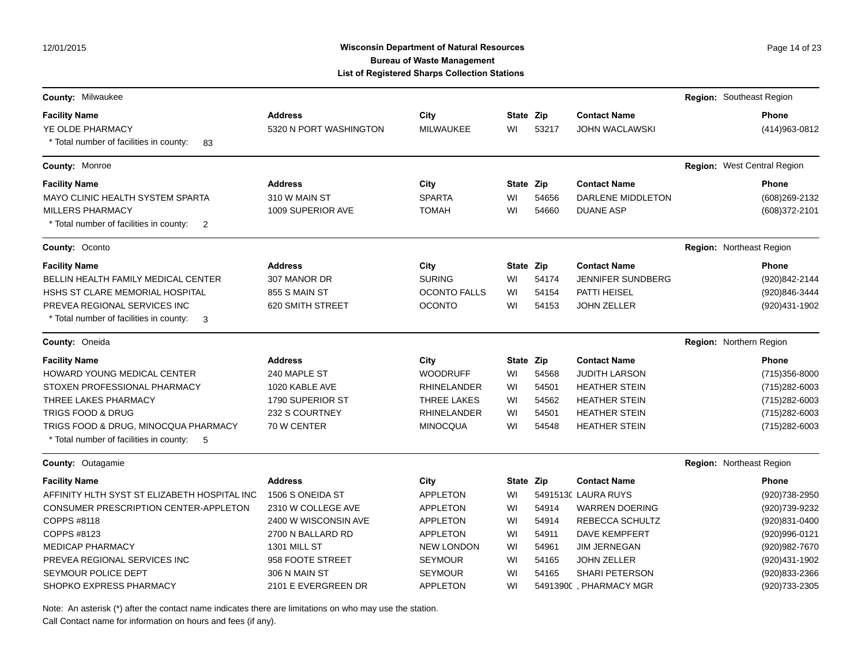12/01/2015

### Wisconsin Department of Natural Resources **Page 14 of 23** Page 14 of 23 **Bureau of Waste Management List of Registered Sharps Collection Stations**

|                                                           |                        | or nogiotorea onarpo ooneenon otationo |           |       |                          |                                |
|-----------------------------------------------------------|------------------------|----------------------------------------|-----------|-------|--------------------------|--------------------------------|
| <b>County: Milwaukee</b>                                  |                        |                                        |           |       |                          | Region: Southeast Region       |
| <b>Facility Name</b>                                      | <b>Address</b>         | City                                   | State Zip |       | <b>Contact Name</b>      | <b>Phone</b>                   |
| YE OLDE PHARMACY                                          | 5320 N PORT WASHINGTON | <b>MILWAUKEE</b>                       | WI        | 53217 | <b>JOHN WACLAWSKI</b>    | (414) 963-0812                 |
| * Total number of facilities in county:<br>83             |                        |                                        |           |       |                          |                                |
| County: Monroe                                            |                        |                                        |           |       |                          | Region: West Central Region    |
| <b>Facility Name</b>                                      | <b>Address</b>         | City                                   | State Zip |       | <b>Contact Name</b>      | <b>Phone</b>                   |
| MAYO CLINIC HEALTH SYSTEM SPARTA                          | 310 W MAIN ST          | <b>SPARTA</b>                          | WI        | 54656 | DARLENE MIDDLETON        | (608) 269-2132                 |
| MILLERS PHARMACY                                          | 1009 SUPERIOR AVE      | <b>TOMAH</b>                           | WI        | 54660 | <b>DUANE ASP</b>         | (608) 372-2101                 |
| * Total number of facilities in county:<br>$\overline{2}$ |                        |                                        |           |       |                          |                                |
| County: Oconto                                            |                        |                                        |           |       |                          | Region: Northeast Region       |
| <b>Facility Name</b>                                      | <b>Address</b>         | City                                   | State Zip |       | <b>Contact Name</b>      | Phone                          |
| BELLIN HEALTH FAMILY MEDICAL CENTER                       | 307 MANOR DR           | <b>SURING</b>                          | WI        | 54174 | <b>JENNIFER SUNDBERG</b> | (920)842-2144                  |
| HSHS ST CLARE MEMORIAL HOSPITAL                           | 855 S MAIN ST          | <b>OCONTO FALLS</b>                    | WI        | 54154 | PATTI HEISEL             | (920)846-3444                  |
| PREVEA REGIONAL SERVICES INC                              | 620 SMITH STREET       | <b>OCONTO</b>                          | WI        | 54153 | <b>JOHN ZELLER</b>       | (920)431-1902                  |
| * Total number of facilities in county:<br>-3             |                        |                                        |           |       |                          |                                |
| County: Oneida                                            |                        |                                        |           |       |                          | <b>Region:</b> Northern Region |
| <b>Facility Name</b>                                      | <b>Address</b>         | City                                   | State Zip |       | <b>Contact Name</b>      | <b>Phone</b>                   |
| HOWARD YOUNG MEDICAL CENTER                               | 240 MAPLE ST           | <b>WOODRUFF</b>                        | WI        | 54568 | <b>JUDITH LARSON</b>     | (715) 356-8000                 |
| STOXEN PROFESSIONAL PHARMACY                              | 1020 KABLE AVE         | <b>RHINELANDER</b>                     | WI        | 54501 | <b>HEATHER STEIN</b>     | (715) 282-6003                 |
| THREE LAKES PHARMACY                                      | 1790 SUPERIOR ST       | <b>THREE LAKES</b>                     | WI        | 54562 | <b>HEATHER STEIN</b>     | $(715)282 - 6003$              |
| TRIGS FOOD & DRUG                                         | 232 S COURTNEY         | <b>RHINELANDER</b>                     | WI        | 54501 | <b>HEATHER STEIN</b>     | (715) 282-6003                 |
| TRIGS FOOD & DRUG, MINOCQUA PHARMACY                      | 70 W CENTER            | <b>MINOCQUA</b>                        | WI        | 54548 | <b>HEATHER STEIN</b>     | (715) 282-6003                 |
| * Total number of facilities in county:<br>- 5            |                        |                                        |           |       |                          |                                |
| <b>County: Outagamie</b>                                  |                        |                                        |           |       |                          | Region: Northeast Region       |
| <b>Facility Name</b>                                      | <b>Address</b>         | City                                   | State Zip |       | <b>Contact Name</b>      | <b>Phone</b>                   |
| AFFINITY HLTH SYST ST ELIZABETH HOSPITAL INC              | 1506 S ONEIDA ST       | <b>APPLETON</b>                        | WI        |       | 5491513( LAURA RUYS      | (920) 738-2950                 |
| CONSUMER PRESCRIPTION CENTER-APPLETON                     | 2310 W COLLEGE AVE     | <b>APPLETON</b>                        | WI        | 54914 | <b>WARREN DOERING</b>    | (920)739-9232                  |
| COPPS #8118                                               | 2400 W WISCONSIN AVE   | <b>APPLETON</b>                        | WI        | 54914 | REBECCA SCHULTZ          | (920)831-0400                  |
| COPPS #8123                                               | 2700 N BALLARD RD      | <b>APPLETON</b>                        | WI        | 54911 | <b>DAVE KEMPFERT</b>     | (920)996-0121                  |
| <b>MEDICAP PHARMACY</b>                                   | 1301 MILL ST           | <b>NEW LONDON</b>                      | WI        | 54961 | <b>JIM JERNEGAN</b>      | (920) 982-7670                 |
| PREVEA REGIONAL SERVICES INC                              | 958 FOOTE STREET       | <b>SEYMOUR</b>                         | WI        | 54165 | <b>JOHN ZELLER</b>       | (920)431-1902                  |
| SEYMOUR POLICE DEPT                                       | 306 N MAIN ST          | <b>SEYMOUR</b>                         | WI        | 54165 | SHARI PETERSON           | (920)833-2366                  |
| SHOPKO EXPRESS PHARMACY                                   | 2101 E EVERGREEN DR    | <b>APPLETON</b>                        | WI        |       | 54913900, PHARMACY MGR   | (920) 733-2305                 |

Note: An asterisk (\*) after the contact name indicates there are limitations on who may use the station.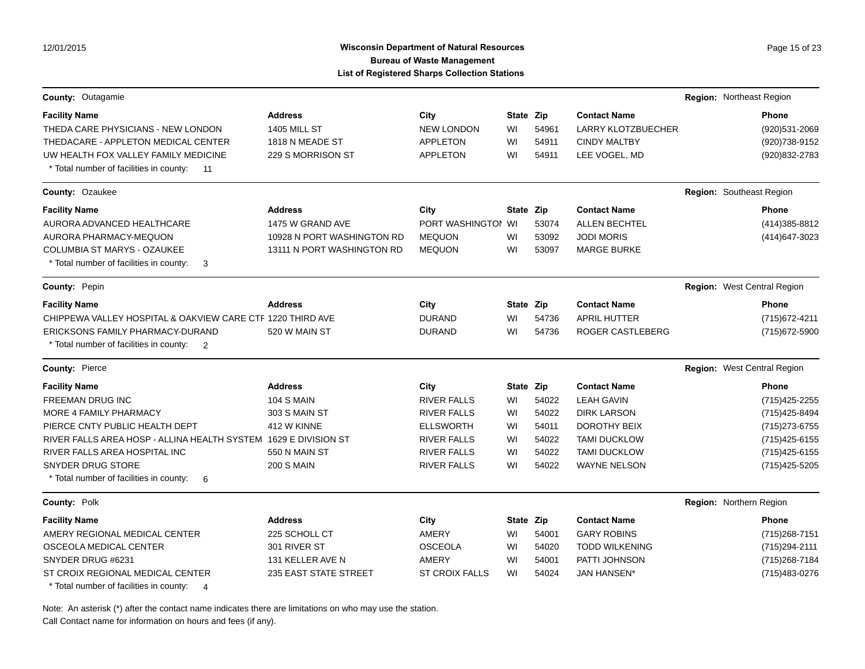## Wisconsin Department of Natural Resources **Page 15 of 23** Page 15 of 23 **Bureau of Waste Management List of Registered Sharps Collection Stations**

| County: Outagamie                                                     |                            |                       |           |       |                           | Region: Northeast Region    |
|-----------------------------------------------------------------------|----------------------------|-----------------------|-----------|-------|---------------------------|-----------------------------|
| <b>Facility Name</b>                                                  | <b>Address</b>             | City                  | State Zip |       | <b>Contact Name</b>       | <b>Phone</b>                |
| THEDA CARE PHYSICIANS - NEW LONDON                                    | <b>1405 MILL ST</b>        | <b>NEW LONDON</b>     | WI        | 54961 | <b>LARRY KLOTZBUECHER</b> | (920)531-2069               |
| THEDACARE - APPLETON MEDICAL CENTER                                   | 1818 N MEADE ST            | <b>APPLETON</b>       | WI        | 54911 | <b>CINDY MALTBY</b>       | (920) 738-9152              |
| UW HEALTH FOX VALLEY FAMILY MEDICINE                                  | 229 S MORRISON ST          | <b>APPLETON</b>       | WI        | 54911 | LEE VOGEL, MD             | (920) 832-2783              |
| * Total number of facilities in county:<br>$-11$                      |                            |                       |           |       |                           |                             |
| County: Ozaukee                                                       |                            |                       |           |       |                           | Region: Southeast Region    |
| <b>Facility Name</b>                                                  | <b>Address</b>             | City                  | State Zip |       | <b>Contact Name</b>       | Phone                       |
| AURORA ADVANCED HEALTHCARE                                            | 1475 W GRAND AVE           | PORT WASHINGTOI WI    |           | 53074 | <b>ALLEN BECHTEL</b>      | (414) 385-8812              |
| AURORA PHARMACY-MEQUON                                                | 10928 N PORT WASHINGTON RD | <b>MEQUON</b>         | WI        | 53092 | <b>JODI MORIS</b>         | (414) 647-3023              |
| <b>COLUMBIA ST MARYS - OZAUKEE</b>                                    | 13111 N PORT WASHINGTON RD | <b>MEQUON</b>         | WI        | 53097 | <b>MARGE BURKE</b>        |                             |
| * Total number of facilities in county:<br>3                          |                            |                       |           |       |                           |                             |
| County: Pepin                                                         |                            |                       |           |       |                           | Region: West Central Region |
| <b>Facility Name</b>                                                  | <b>Address</b>             | City                  | State Zip |       | <b>Contact Name</b>       | <b>Phone</b>                |
| CHIPPEWA VALLEY HOSPITAL & OAKVIEW CARE CTF 1220 THIRD AVE            |                            | <b>DURAND</b>         | WI        | 54736 | <b>APRIL HUTTER</b>       | (715) 672-4211              |
| ERICKSONS FAMILY PHARMACY-DURAND                                      | 520 W MAIN ST              | <b>DURAND</b>         | WI        | 54736 | <b>ROGER CASTLEBERG</b>   | (715) 672-5900              |
| * Total number of facilities in county:<br>$\overline{\phantom{0}}^2$ |                            |                       |           |       |                           |                             |
| County: Pierce                                                        |                            |                       |           |       |                           | Region: West Central Region |
| <b>Facility Name</b>                                                  | <b>Address</b>             | City                  | State Zip |       | <b>Contact Name</b>       | <b>Phone</b>                |
| FREEMAN DRUG INC                                                      | <b>104 S MAIN</b>          | <b>RIVER FALLS</b>    | WI        | 54022 | <b>LEAH GAVIN</b>         | (715) 425-2255              |
| MORE 4 FAMILY PHARMACY                                                | 303 S MAIN ST              | <b>RIVER FALLS</b>    | WI        | 54022 | <b>DIRK LARSON</b>        | (715) 425-8494              |
| PIERCE CNTY PUBLIC HEALTH DEPT                                        | 412 W KINNE                | <b>ELLSWORTH</b>      | WI        | 54011 | DOROTHY BEIX              | (715) 273-6755              |
| RIVER FALLS AREA HOSP - ALLINA HEALTH SYSTEM 1629 E DIVISION ST       |                            | <b>RIVER FALLS</b>    | WI        | 54022 | <b>TAMI DUCKLOW</b>       | (715) 425-6155              |
| RIVER FALLS AREA HOSPITAL INC                                         | 550 N MAIN ST              | <b>RIVER FALLS</b>    | WI        | 54022 | <b>TAMI DUCKLOW</b>       | (715) 425-6155              |
| <b>SNYDER DRUG STORE</b>                                              | <b>200 S MAIN</b>          | <b>RIVER FALLS</b>    | WI        | 54022 | <b>WAYNE NELSON</b>       | (715) 425-5205              |
| * Total number of facilities in county:<br>6                          |                            |                       |           |       |                           |                             |
| County: Polk                                                          |                            |                       |           |       |                           | Region: Northern Region     |
| <b>Facility Name</b>                                                  | <b>Address</b>             | City                  | State Zip |       | <b>Contact Name</b>       | <b>Phone</b>                |
| AMERY REGIONAL MEDICAL CENTER                                         | 225 SCHOLL CT              | AMERY                 | WI        | 54001 | <b>GARY ROBINS</b>        | (715) 268-7151              |
| OSCEOLA MEDICAL CENTER                                                | 301 RIVER ST               | <b>OSCEOLA</b>        | WI        | 54020 | <b>TODD WILKENING</b>     | (715) 294-2111              |
| SNYDER DRUG #6231                                                     | 131 KELLER AVE N           | <b>AMERY</b>          | WI        | 54001 | PATTI JOHNSON             | (715) 268-7184              |
| ST CROIX REGIONAL MEDICAL CENTER                                      | 235 EAST STATE STREET      | <b>ST CROIX FALLS</b> | WI        | 54024 | <b>JAN HANSEN*</b>        | (715) 483-0276              |

\* Total number of facilities in county: 4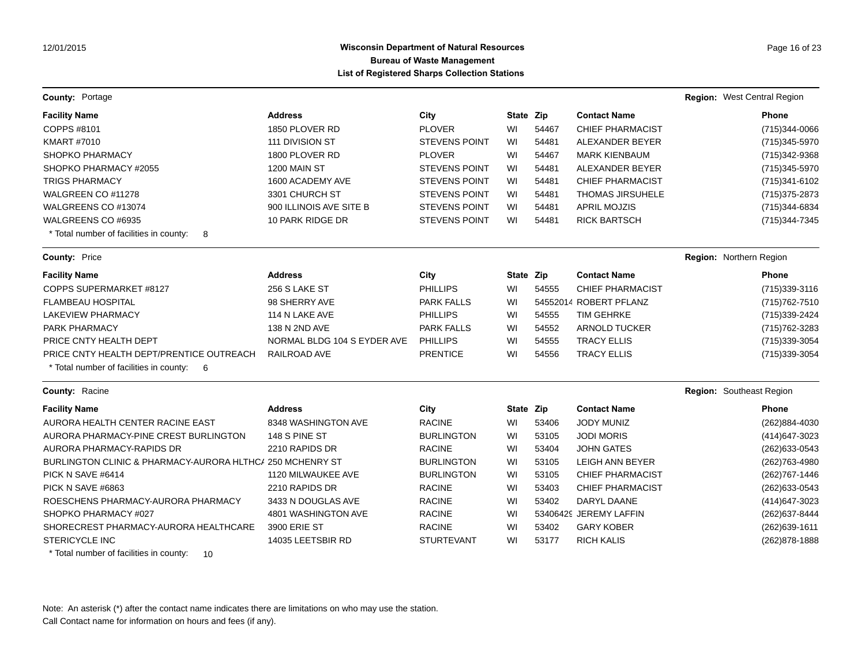### **Wisconsin Department of Natural Resources Page 16 of 23 Page 16 of 23 Bureau of Waste Management List of Registered Sharps Collection Stations**

| <b>County: Portage</b>                                    |                             |                      |           |       |                         | <b>Region:</b> West Central Region |
|-----------------------------------------------------------|-----------------------------|----------------------|-----------|-------|-------------------------|------------------------------------|
| <b>Facility Name</b>                                      | <b>Address</b>              | City                 | State Zip |       | <b>Contact Name</b>     | Phone                              |
| COPPS #8101                                               | 1850 PLOVER RD              | <b>PLOVER</b>        | WI        | 54467 | <b>CHIEF PHARMACIST</b> | (715)344-0066                      |
| <b>KMART #7010</b>                                        | 111 DIVISION ST             | <b>STEVENS POINT</b> | WI        | 54481 | ALEXANDER BEYER         | (715) 345-5970                     |
| <b>SHOPKO PHARMACY</b>                                    | 1800 PLOVER RD              | <b>PLOVER</b>        | WI        | 54467 | <b>MARK KIENBAUM</b>    | (715) 342-9368                     |
| SHOPKO PHARMACY #2055                                     | 1200 MAIN ST                | <b>STEVENS POINT</b> | WI        | 54481 | ALEXANDER BEYER         | (715) 345-5970                     |
| <b>TRIGS PHARMACY</b>                                     | 1600 ACADEMY AVE            | <b>STEVENS POINT</b> | WI        | 54481 | <b>CHIEF PHARMACIST</b> | (715)341-6102                      |
| WALGREEN CO #11278                                        | 3301 CHURCH ST              | <b>STEVENS POINT</b> | WI        | 54481 | <b>THOMAS JIRSUHELE</b> | (715) 375-2873                     |
| WALGREENS CO #13074                                       | 900 ILLINOIS AVE SITE B     | <b>STEVENS POINT</b> | WI        | 54481 | <b>APRIL MOJZIS</b>     | (715) 344-6834                     |
| WALGREENS CO #6935                                        | 10 PARK RIDGE DR            | <b>STEVENS POINT</b> | WI        | 54481 | <b>RICK BARTSCH</b>     | (715) 344-7345                     |
| * Total number of facilities in county:<br>8              |                             |                      |           |       |                         |                                    |
| County: Price                                             |                             |                      |           |       |                         | <b>Region: Northern Region</b>     |
| <b>Facility Name</b>                                      | <b>Address</b>              | City                 | State Zip |       | <b>Contact Name</b>     | Phone                              |
| COPPS SUPERMARKET #8127                                   | 256 S LAKE ST               | <b>PHILLIPS</b>      | WI        | 54555 | <b>CHIEF PHARMACIST</b> | (715) 339-3116                     |
| <b>FLAMBEAU HOSPITAL</b>                                  | 98 SHERRY AVE               | <b>PARK FALLS</b>    | WI        |       | 54552014 ROBERT PFLANZ  | (715) 762-7510                     |
| <b>LAKEVIEW PHARMACY</b>                                  | 114 N LAKE AVE              | <b>PHILLIPS</b>      | WI        | 54555 | <b>TIM GEHRKE</b>       | (715) 339-2424                     |
| PARK PHARMACY                                             | 138 N 2ND AVE               | <b>PARK FALLS</b>    | WI        | 54552 | <b>ARNOLD TUCKER</b>    | (715) 762-3283                     |
| PRICE CNTY HEALTH DEPT                                    | NORMAL BLDG 104 S EYDER AVE | <b>PHILLIPS</b>      | WI        | 54555 | <b>TRACY ELLIS</b>      | (715)339-3054                      |
| PRICE CNTY HEALTH DEPT/PRENTICE OUTREACH                  | RAILROAD AVE                | <b>PRENTICE</b>      | WI        | 54556 | <b>TRACY ELLIS</b>      | (715) 339-3054                     |
| * Total number of facilities in county:<br>- 6            |                             |                      |           |       |                         |                                    |
| County: Racine                                            |                             |                      |           |       |                         | <b>Region: Southeast Region</b>    |
| <b>Facility Name</b>                                      | <b>Address</b>              | City                 | State Zip |       | <b>Contact Name</b>     | Phone                              |
| AURORA HEALTH CENTER RACINE EAST                          | 8348 WASHINGTON AVE         | <b>RACINE</b>        | WI        | 53406 | <b>JODY MUNIZ</b>       | (262)884-4030                      |
| AURORA PHARMACY-PINE CREST BURLINGTON                     | 148 S PINE ST               | <b>BURLINGTON</b>    | WI        | 53105 | <b>JODI MORIS</b>       | (414) 647-3023                     |
| AURORA PHARMACY-RAPIDS DR                                 | 2210 RAPIDS DR              | <b>RACINE</b>        | WI        | 53404 | <b>JOHN GATES</b>       | (262) 633-0543                     |
| BURLINGTON CLINIC & PHARMACY-AURORA HLTHC/ 250 MCHENRY ST |                             | <b>BURLINGTON</b>    | WI        | 53105 | <b>LEIGH ANN BEYER</b>  | (262) 763-4980                     |
| PICK N SAVE #6414                                         | 1120 MILWAUKEE AVE          | <b>BURLINGTON</b>    | WI        | 53105 | <b>CHIEF PHARMACIST</b> | (262) 767-1446                     |
| PICK N SAVE #6863                                         | 2210 RAPIDS DR              | <b>RACINE</b>        | WI        | 53403 | <b>CHIEF PHARMACIST</b> | (262) 633-0543                     |
| ROESCHENS PHARMACY-AURORA PHARMACY                        | 3433 N DOUGLAS AVE          | <b>RACINE</b>        | WI        | 53402 | <b>DARYL DAANE</b>      | (414) 647-3023                     |
| SHOPKO PHARMACY #027                                      | 4801 WASHINGTON AVE         | <b>RACINE</b>        | WI        |       | 53406429 JEREMY LAFFIN  | (262) 637-8444                     |
| SHORECREST PHARMACY-AURORA HEALTHCARE                     | 3900 ERIE ST                | <b>RACINE</b>        | WI        | 53402 | <b>GARY KOBER</b>       | (262) 639-1611                     |
| STERICYCLE INC                                            | 14035 LEETSBIR RD           | <b>STURTEVANT</b>    | WI        | 53177 | <b>RICH KALIS</b>       | (262) 878-1888                     |

\* Total number of facilities in county: 10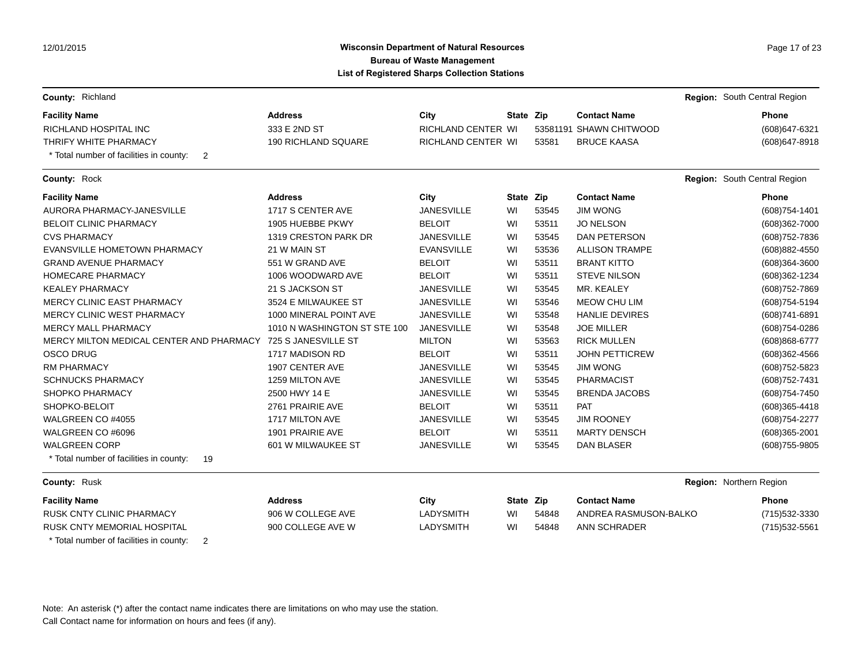# **Wisconsin Department of Natural Resources Page 17 of 23 Page 17 of 23 Bureau of Waste Management List of Registered Sharps Collection Stations**

| County: Richland                              |                              |                           |           |       |                         |                         | Region: South Central Region |
|-----------------------------------------------|------------------------------|---------------------------|-----------|-------|-------------------------|-------------------------|------------------------------|
| <b>Facility Name</b>                          | <b>Address</b>               | City                      | State Zip |       | <b>Contact Name</b>     |                         | <b>Phone</b>                 |
| <b>RICHLAND HOSPITAL INC</b>                  | 333 E 2ND ST                 | RICHLAND CENTER WI        |           |       | 53581191 SHAWN CHITWOOD |                         | (608) 647-6321               |
| THRIFY WHITE PHARMACY                         | 190 RICHLAND SQUARE          | <b>RICHLAND CENTER WI</b> |           | 53581 | <b>BRUCE KAASA</b>      |                         | (608) 647-8918               |
| * Total number of facilities in county:<br>2  |                              |                           |           |       |                         |                         |                              |
| County: Rock                                  |                              |                           |           |       |                         |                         | Region: South Central Region |
| <b>Facility Name</b>                          | <b>Address</b>               | City                      | State Zip |       | <b>Contact Name</b>     |                         | Phone                        |
| AURORA PHARMACY-JANESVILLE                    | 1717 S CENTER AVE            | <b>JANESVILLE</b>         | WI        | 53545 | <b>JIM WONG</b>         |                         | (608) 754-1401               |
| <b>BELOIT CLINIC PHARMACY</b>                 | 1905 HUEBBE PKWY             | <b>BELOIT</b>             | WI        | 53511 | <b>JO NELSON</b>        |                         | (608)362-7000                |
| <b>CVS PHARMACY</b>                           | 1319 CRESTON PARK DR         | <b>JANESVILLE</b>         | WI        | 53545 | <b>DAN PETERSON</b>     |                         | (608) 752-7836               |
| EVANSVILLE HOMETOWN PHARMACY                  | 21 W MAIN ST                 | <b>EVANSVILLE</b>         | WI        | 53536 | <b>ALLISON TRAMPE</b>   |                         | (608) 882-4550               |
| <b>GRAND AVENUE PHARMACY</b>                  | 551 W GRAND AVE              | <b>BELOIT</b>             | WI        | 53511 | <b>BRANT KITTO</b>      |                         | $(608)364 - 3600$            |
| <b>HOMECARE PHARMACY</b>                      | 1006 WOODWARD AVE            | <b>BELOIT</b>             | WI        | 53511 | <b>STEVE NILSON</b>     |                         | (608)362-1234                |
| <b>KEALEY PHARMACY</b>                        | 21 S JACKSON ST              | <b>JANESVILLE</b>         | WI        | 53545 | MR. KEALEY              |                         | (608) 752-7869               |
| MERCY CLINIC EAST PHARMACY                    | 3524 E MILWAUKEE ST          | <b>JANESVILLE</b>         | WI        | 53546 | MEOW CHU LIM            |                         | (608) 754-5194               |
| MERCY CLINIC WEST PHARMACY                    | 1000 MINERAL POINT AVE       | <b>JANESVILLE</b>         | WI        | 53548 | <b>HANLIE DEVIRES</b>   |                         | (608)741-6891                |
| <b>MERCY MALL PHARMACY</b>                    | 1010 N WASHINGTON ST STE 100 | <b>JANESVILLE</b>         | WI        | 53548 | <b>JOE MILLER</b>       |                         | (608) 754-0286               |
| MERCY MILTON MEDICAL CENTER AND PHARMACY      | 725 S JANESVILLE ST          | <b>MILTON</b>             | WI        | 53563 | <b>RICK MULLEN</b>      |                         | (608) 868-6777               |
| <b>OSCO DRUG</b>                              | 1717 MADISON RD              | <b>BELOIT</b>             | WI        | 53511 | <b>JOHN PETTICREW</b>   |                         | $(608)362 - 4566$            |
| <b>RM PHARMACY</b>                            | 1907 CENTER AVE              | <b>JANESVILLE</b>         | WI        | 53545 | <b>JIM WONG</b>         |                         | (608) 752-5823               |
| <b>SCHNUCKS PHARMACY</b>                      | 1259 MILTON AVE              | <b>JANESVILLE</b>         | WI        | 53545 | <b>PHARMACIST</b>       |                         | (608) 752-7431               |
| SHOPKO PHARMACY                               | 2500 HWY 14 E                | <b>JANESVILLE</b>         | WI        | 53545 | <b>BRENDA JACOBS</b>    |                         | (608) 754-7450               |
| SHOPKO-BELOIT                                 | 2761 PRAIRIE AVE             | <b>BELOIT</b>             | WI        | 53511 | <b>PAT</b>              |                         | $(608)365 - 4418$            |
| WALGREEN CO #4055                             | 1717 MILTON AVE              | <b>JANESVILLE</b>         | WI        | 53545 | <b>JIM ROONEY</b>       |                         | (608) 754-2277               |
| WALGREEN CO #6096                             | 1901 PRAIRIE AVE             | <b>BELOIT</b>             | WI        | 53511 | <b>MARTY DENSCH</b>     |                         | (608)365-2001                |
| <b>WALGREEN CORP</b>                          | 601 W MILWAUKEE ST           | <b>JANESVILLE</b>         | WI        | 53545 | <b>DAN BLASER</b>       |                         | (608) 755-9805               |
| * Total number of facilities in county:<br>19 |                              |                           |           |       |                         |                         |                              |
| County: Rusk                                  |                              |                           |           |       |                         | Region: Northern Region |                              |
| <b>Facility Name</b>                          | <b>Address</b>               | City                      | State Zip |       | <b>Contact Name</b>     |                         | Phone                        |
| <b>RUSK CNTY CLINIC PHARMACY</b>              | 906 W COLLEGE AVE            | <b>LADYSMITH</b>          | WI        | 54848 | ANDREA RASMUSON-BALKO   |                         | (715) 532-3330               |
| RUSK CNTY MEMORIAL HOSPITAL                   | 900 COLLEGE AVE W            | <b>LADYSMITH</b>          | WI        | 54848 | ANN SCHRADER            |                         | (715) 532-5561               |
| * Total number of facilities in county:<br>2  |                              |                           |           |       |                         |                         |                              |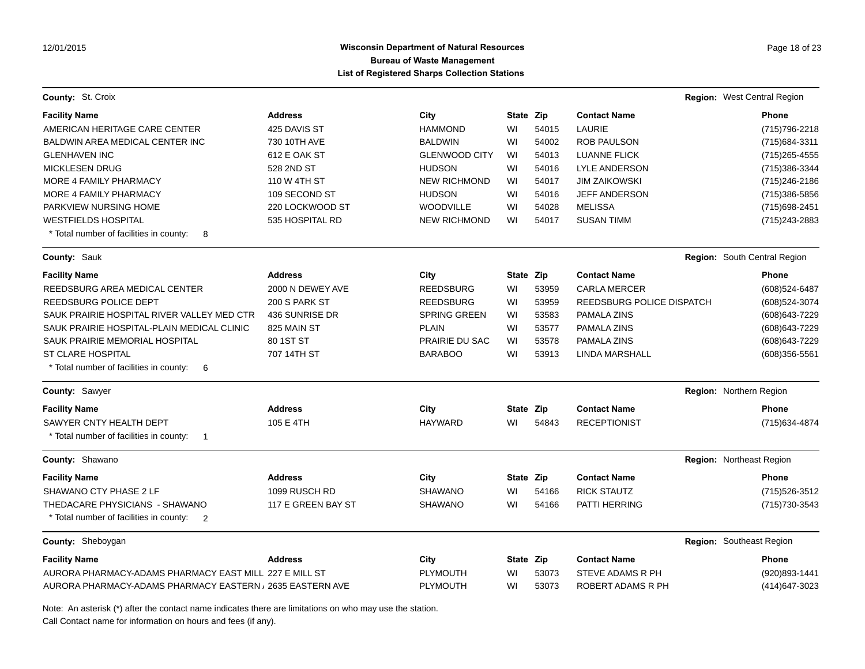### **Wisconsin Department of Natural Resources Page 18 of 23 Page 18 of 23 Bureau of Waste Management List of Registered Sharps Collection Stations**

| <b>County: St. Croix</b>                                           |                    |                      |           |       |                           | Region: West Central Region  |
|--------------------------------------------------------------------|--------------------|----------------------|-----------|-------|---------------------------|------------------------------|
| <b>Facility Name</b>                                               | <b>Address</b>     | City                 | State Zip |       | <b>Contact Name</b>       | <b>Phone</b>                 |
| AMERICAN HERITAGE CARE CENTER                                      | 425 DAVIS ST       | <b>HAMMOND</b>       | WI        | 54015 | LAURIE                    | (715) 796-2218               |
| <b>BALDWIN AREA MEDICAL CENTER INC</b>                             | 730 10TH AVE       | <b>BALDWIN</b>       | WI        | 54002 | <b>ROB PAULSON</b>        | (715) 684-3311               |
| <b>GLENHAVEN INC</b>                                               | 612 E OAK ST       | <b>GLENWOOD CITY</b> | WI        | 54013 | <b>LUANNE FLICK</b>       | (715) 265-4555               |
| <b>MICKLESEN DRUG</b>                                              | 528 2ND ST         | <b>HUDSON</b>        | WI        | 54016 | <b>LYLE ANDERSON</b>      | (715) 386-3344               |
| MORE 4 FAMILY PHARMACY                                             | 110 W 4TH ST       | <b>NEW RICHMOND</b>  | WI        | 54017 | <b>JIM ZAIKOWSKI</b>      | (715) 246-2186               |
| MORE 4 FAMILY PHARMACY                                             | 109 SECOND ST      | <b>HUDSON</b>        | WI        | 54016 | <b>JEFF ANDERSON</b>      | (715) 386-5856               |
| PARKVIEW NURSING HOME                                              | 220 LOCKWOOD ST    | <b>WOODVILLE</b>     | WI        | 54028 | <b>MELISSA</b>            | (715) 698-2451               |
| <b>WESTFIELDS HOSPITAL</b>                                         | 535 HOSPITAL RD    | <b>NEW RICHMOND</b>  | WI        | 54017 | <b>SUSAN TIMM</b>         | (715) 243-2883               |
| * Total number of facilities in county:<br>8                       |                    |                      |           |       |                           |                              |
| County: Sauk                                                       |                    |                      |           |       |                           | Region: South Central Region |
| <b>Facility Name</b>                                               | <b>Address</b>     | City                 | State Zip |       | <b>Contact Name</b>       | <b>Phone</b>                 |
| REEDSBURG AREA MEDICAL CENTER                                      | 2000 N DEWEY AVE   | <b>REEDSBURG</b>     | WI        | 53959 | <b>CARLA MERCER</b>       | (608) 524-6487               |
| REEDSBURG POLICE DEPT                                              | 200 S PARK ST      | <b>REEDSBURG</b>     | WI        | 53959 | REEDSBURG POLICE DISPATCH | (608) 524-3074               |
| SAUK PRAIRIE HOSPITAL RIVER VALLEY MED CTR                         | 436 SUNRISE DR     | <b>SPRING GREEN</b>  | WI        | 53583 | PAMALA ZINS               | (608) 643-7229               |
| SAUK PRAIRIE HOSPITAL-PLAIN MEDICAL CLINIC                         | 825 MAIN ST        | <b>PLAIN</b>         | WI        | 53577 | PAMALA ZINS               | (608) 643-7229               |
| SAUK PRAIRIE MEMORIAL HOSPITAL                                     | 80 1ST ST          | PRAIRIE DU SAC       | WI        | 53578 | PAMALA ZINS               | (608) 643-7229               |
| <b>ST CLARE HOSPITAL</b>                                           | 707 14TH ST        | <b>BARABOO</b>       | WI        | 53913 | LINDA MARSHALL            | $(608)356 - 5561$            |
| * Total number of facilities in county:<br>6                       |                    |                      |           |       |                           |                              |
| County: Sawyer                                                     |                    |                      |           |       |                           | Region: Northern Region      |
| <b>Facility Name</b>                                               | <b>Address</b>     | City                 | State Zip |       | <b>Contact Name</b>       | <b>Phone</b>                 |
| SAWYER CNTY HEALTH DEPT                                            | 105 E 4TH          | <b>HAYWARD</b>       | WI        | 54843 | <b>RECEPTIONIST</b>       | (715) 634-4874               |
| * Total number of facilities in county:<br>$\overline{\mathbf{1}}$ |                    |                      |           |       |                           |                              |
| County: Shawano                                                    |                    |                      |           |       |                           | Region: Northeast Region     |
| <b>Facility Name</b>                                               | <b>Address</b>     | City                 | State Zip |       | <b>Contact Name</b>       | <b>Phone</b>                 |
| SHAWANO CTY PHASE 2 LF                                             | 1099 RUSCH RD      | <b>SHAWANO</b>       | WI        | 54166 | <b>RICK STAUTZ</b>        | (715) 526-3512               |
| THEDACARE PHYSICIANS - SHAWANO                                     | 117 E GREEN BAY ST | <b>SHAWANO</b>       | WI        | 54166 | PATTI HERRING             | (715) 730-3543               |
| * Total number of facilities in county:<br>2                       |                    |                      |           |       |                           |                              |
| County: Sheboygan                                                  |                    |                      |           |       |                           | Region: Southeast Region     |
| <b>Facility Name</b>                                               | <b>Address</b>     | City                 | State Zip |       | <b>Contact Name</b>       | <b>Phone</b>                 |
| AURORA PHARMACY-ADAMS PHARMACY EAST MILL 227 E MILL ST             |                    | <b>PLYMOUTH</b>      | WI        | 53073 | STEVE ADAMS R PH          | (920)893-1441                |
| AURORA PHARMACY-ADAMS PHARMACY EASTERN , 2635 EASTERN AVE          |                    | <b>PLYMOUTH</b>      | WI        | 53073 | ROBERT ADAMS R PH         | (414) 647-3023               |

Note: An asterisk (\*) after the contact name indicates there are limitations on who may use the station.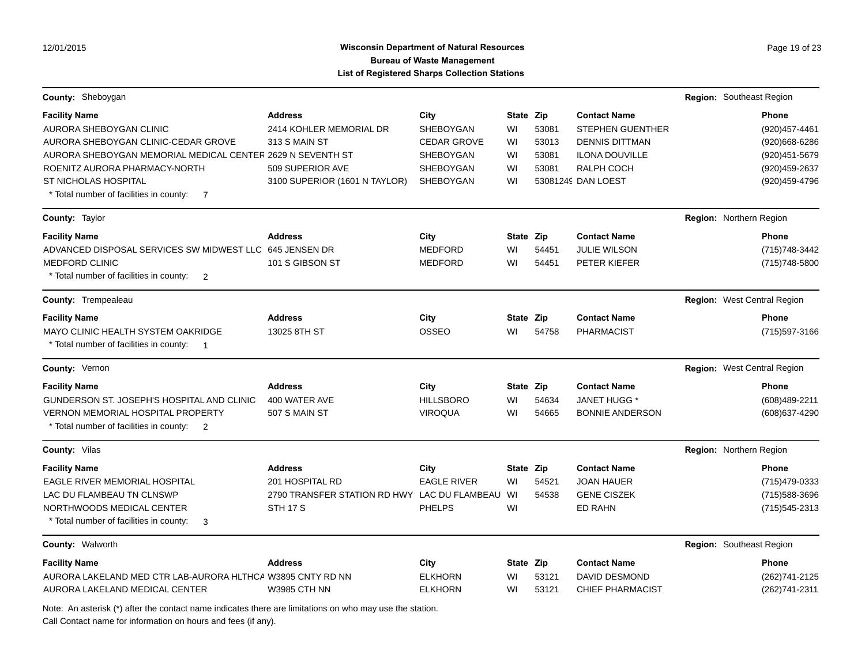# **Wisconsin Department of Natural Resources Page 19 of 23 Page 19 of 23 Bureau of Waste Management List of Registered Sharps Collection Stations**

| <b>County: Sheboygan</b>                                              |                                              |                    |           |       |                         | Region: Southeast Region    |
|-----------------------------------------------------------------------|----------------------------------------------|--------------------|-----------|-------|-------------------------|-----------------------------|
| <b>Facility Name</b>                                                  | <b>Address</b>                               | City               | State Zip |       | <b>Contact Name</b>     | <b>Phone</b>                |
| AURORA SHEBOYGAN CLINIC                                               | 2414 KOHLER MEMORIAL DR                      | SHEBOYGAN          | WI        | 53081 | <b>STEPHEN GUENTHER</b> | (920) 457-4461              |
| AURORA SHEBOYGAN CLINIC-CEDAR GROVE                                   | 313 S MAIN ST                                | <b>CEDAR GROVE</b> | WI        | 53013 | <b>DENNIS DITTMAN</b>   | (920)668-6286               |
| AURORA SHEBOYGAN MEMORIAL MEDICAL CENTER 2629 N SEVENTH ST            |                                              | <b>SHEBOYGAN</b>   | WI        | 53081 | <b>ILONA DOUVILLE</b>   | (920) 451-5679              |
| ROENITZ AURORA PHARMACY-NORTH                                         | 509 SUPERIOR AVE                             | SHEBOYGAN          | WI        | 53081 | RALPH COCH              | (920) 459-2637              |
| <b>ST NICHOLAS HOSPITAL</b>                                           | 3100 SUPERIOR (1601 N TAYLOR)                | <b>SHEBOYGAN</b>   | WI        |       | 53081249 DAN LOEST      | (920) 459-4796              |
| * Total number of facilities in county:<br>$\overline{7}$             |                                              |                    |           |       |                         |                             |
| County: Taylor                                                        |                                              |                    |           |       |                         | Region: Northern Region     |
| <b>Facility Name</b>                                                  | <b>Address</b>                               | City               | State Zip |       | <b>Contact Name</b>     | <b>Phone</b>                |
| ADVANCED DISPOSAL SERVICES SW MIDWEST LLC                             | 645 JENSEN DR                                | <b>MEDFORD</b>     | WI        | 54451 | <b>JULIE WILSON</b>     | (715) 748-3442              |
| <b>MEDFORD CLINIC</b>                                                 | 101 S GIBSON ST                              | <b>MEDFORD</b>     | WI        | 54451 | PETER KIEFER            | (715) 748-5800              |
| * Total number of facilities in county:<br>$\overline{2}$             |                                              |                    |           |       |                         |                             |
| <b>County: Trempealeau</b>                                            |                                              |                    |           |       |                         | Region: West Central Region |
| <b>Facility Name</b>                                                  | <b>Address</b>                               | City               | State Zip |       | <b>Contact Name</b>     | <b>Phone</b>                |
| MAYO CLINIC HEALTH SYSTEM OAKRIDGE                                    | 13025 8TH ST                                 | OSSEO              | WI        | 54758 | PHARMACIST              | (715) 597-3166              |
| * Total number of facilities in county:<br>$\overline{\phantom{0}}$ 1 |                                              |                    |           |       |                         |                             |
| County: Vernon                                                        |                                              |                    |           |       |                         | Region: West Central Region |
| <b>Facility Name</b>                                                  | <b>Address</b>                               | City               | State Zip |       | <b>Contact Name</b>     | <b>Phone</b>                |
| GUNDERSON ST. JOSEPH'S HOSPITAL AND CLINIC                            | 400 WATER AVE                                | <b>HILLSBORO</b>   | WI        | 54634 | JANET HUGG *            | (608)489-2211               |
| <b>VERNON MEMORIAL HOSPITAL PROPERTY</b>                              | 507 S MAIN ST                                | <b>VIROQUA</b>     | WI        | 54665 | <b>BONNIE ANDERSON</b>  | (608) 637-4290              |
| * Total number of facilities in county:<br>$\overline{2}$             |                                              |                    |           |       |                         |                             |
| County: Vilas                                                         |                                              |                    |           |       |                         | Region: Northern Region     |
| <b>Facility Name</b>                                                  | <b>Address</b>                               | City               | State Zip |       | <b>Contact Name</b>     | <b>Phone</b>                |
| <b>EAGLE RIVER MEMORIAL HOSPITAL</b>                                  | 201 HOSPITAL RD                              | <b>EAGLE RIVER</b> | WI        | 54521 | JOAN HAUER              | (715) 479-0333              |
| LAC DU FLAMBEAU TN CLNSWP                                             | 2790 TRANSFER STATION RD HWY LAC DU FLAMBEAU |                    | WI        | 54538 | <b>GENE CISZEK</b>      | (715) 588-3696              |
| NORTHWOODS MEDICAL CENTER                                             | <b>STH 17 S</b>                              | <b>PHELPS</b>      | WI        |       | ED RAHN                 | (715) 545-2313              |
| * Total number of facilities in county:<br>3                          |                                              |                    |           |       |                         |                             |
| County: Walworth                                                      |                                              |                    |           |       |                         | Region: Southeast Region    |
| <b>Facility Name</b>                                                  | <b>Address</b>                               | City               | State Zip |       | <b>Contact Name</b>     | <b>Phone</b>                |
| AURORA LAKELAND MED CTR LAB-AURORA HLTHCA W3895 CNTY RD NN            |                                              | <b>ELKHORN</b>     | WI        | 53121 | <b>DAVID DESMOND</b>    | (262) 741-2125              |
| AURORA LAKELAND MEDICAL CENTER                                        | <b>W3985 CTH NN</b>                          | <b>ELKHORN</b>     | WI        | 53121 | <b>CHIEF PHARMACIST</b> | (262)741-2311               |

Note: An asterisk (\*) after the contact name indicates there are limitations on who may use the station.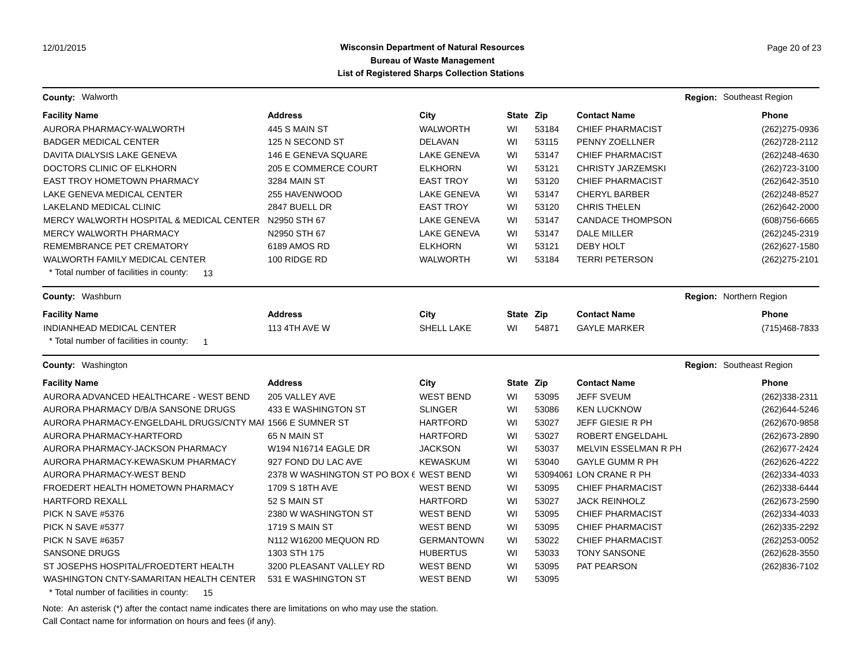**County:** Walworth **Region:** Southeast Region **Region:** Southeast Region **Region:** Southeast Region

| <b>Facility Name</b>                                      | <b>Address</b>                          | City               | State Zip |       | <b>Contact Name</b>      |                          | Phone          |
|-----------------------------------------------------------|-----------------------------------------|--------------------|-----------|-------|--------------------------|--------------------------|----------------|
| AURORA PHARMACY-WALWORTH                                  | 445 S MAIN ST                           | <b>WALWORTH</b>    | WI        | 53184 | <b>CHIEF PHARMACIST</b>  |                          | (262) 275-0936 |
| <b>BADGER MEDICAL CENTER</b>                              | 125 N SECOND ST                         | <b>DELAVAN</b>     | WI        | 53115 | PENNY ZOELLNER           |                          | (262) 728-2112 |
| DAVITA DIALYSIS LAKE GENEVA                               | 146 E GENEVA SQUARE                     | <b>LAKE GENEVA</b> | WI        | 53147 | <b>CHIEF PHARMACIST</b>  |                          | (262)248-4630  |
| DOCTORS CLINIC OF ELKHORN                                 | 205 E COMMERCE COURT                    | <b>ELKHORN</b>     | WI        | 53121 | <b>CHRISTY JARZEMSKI</b> |                          | (262) 723-3100 |
| EAST TROY HOMETOWN PHARMACY                               | <b>3284 MAIN ST</b>                     | <b>EAST TROY</b>   | WI        | 53120 | <b>CHIEF PHARMACIST</b>  |                          | (262) 642-3510 |
| LAKE GENEVA MEDICAL CENTER                                | 255 HAVENWOOD                           | <b>LAKE GENEVA</b> | WI        | 53147 | <b>CHERYL BARBER</b>     |                          | (262) 248-8527 |
| LAKELAND MEDICAL CLINIC                                   | 2847 BUELL DR                           | <b>EAST TROY</b>   | WI        | 53120 | <b>CHRIS THELEN</b>      |                          | (262)642-2000  |
| MERCY WALWORTH HOSPITAL & MEDICAL CENTER N2950 STH 67     |                                         | LAKE GENEVA        | WI        | 53147 | <b>CANDACE THOMPSON</b>  |                          | (608) 756-6665 |
| <b>MERCY WALWORTH PHARMACY</b>                            | N2950 STH 67                            | <b>LAKE GENEVA</b> | WI        | 53147 | <b>DALE MILLER</b>       |                          | (262) 245-2319 |
| REMEMBRANCE PET CREMATORY                                 | 6189 AMOS RD                            | <b>ELKHORN</b>     | WI        | 53121 | <b>DEBY HOLT</b>         |                          | (262) 627-1580 |
| WALWORTH FAMILY MEDICAL CENTER                            | 100 RIDGE RD                            | <b>WALWORTH</b>    | WI        | 53184 | <b>TERRI PETERSON</b>    |                          | (262) 275-2101 |
| * Total number of facilities in county:<br>13             |                                         |                    |           |       |                          |                          |                |
| County: Washburn                                          |                                         |                    |           |       |                          | Region: Northern Region  |                |
| <b>Facility Name</b>                                      | <b>Address</b>                          | City               | State Zip |       | <b>Contact Name</b>      |                          | Phone          |
| INDIANHEAD MEDICAL CENTER                                 | <b>113 4TH AVE W</b>                    | SHELL LAKE         | WI        | 54871 | <b>GAYLE MARKER</b>      |                          | (715)468-7833  |
| * Total number of facilities in county:<br>$\overline{1}$ |                                         |                    |           |       |                          |                          |                |
| <b>County: Washington</b>                                 |                                         |                    |           |       |                          | Region: Southeast Region |                |
| <b>Facility Name</b>                                      | <b>Address</b>                          | City               | State Zip |       | <b>Contact Name</b>      |                          | Phone          |
| AURORA ADVANCED HEALTHCARE - WEST BEND                    | 205 VALLEY AVE                          | <b>WEST BEND</b>   | WI        | 53095 | <b>JEFF SVEUM</b>        |                          | (262)338-2311  |
| AURORA PHARMACY D/B/A SANSONE DRUGS                       | 433 E WASHINGTON ST                     | <b>SLINGER</b>     | WI        | 53086 | <b>KEN LUCKNOW</b>       |                          | (262) 644-5246 |
| AURORA PHARMACY-ENGELDAHL DRUGS/CNTY MAI 1566 E SUMNER ST |                                         | <b>HARTFORD</b>    | WI        | 53027 | <b>JEFF GIESIE R PH</b>  |                          | (262) 670-9858 |
| AURORA PHARMACY-HARTFORD                                  | 65 N MAIN ST                            | <b>HARTFORD</b>    | WI        | 53027 | ROBERT ENGELDAHL         |                          | (262) 673-2890 |
| AURORA PHARMACY-JACKSON PHARMACY                          | W194 N16714 EAGLE DR                    | <b>JACKSON</b>     | WI        | 53037 | MELVIN ESSELMAN R PH     |                          | (262) 677-2424 |
| AURORA PHARMACY-KEWASKUM PHARMACY                         | 927 FOND DU LAC AVE                     | <b>KEWASKUM</b>    | WI        | 53040 | <b>GAYLE GUMM R PH</b>   |                          | (262) 626-4222 |
| AURORA PHARMACY-WEST BEND                                 | 2378 W WASHINGTON ST PO BOX 6 WEST BEND |                    | WI        |       | 53094061 LON CRANE R PH  |                          | (262)334-4033  |
| FROEDERT HEALTH HOMETOWN PHARMACY                         | 1709 S 18TH AVE                         | <b>WEST BEND</b>   | WI        | 53095 | <b>CHIEF PHARMACIST</b>  |                          | (262)338-6444  |
| <b>HARTFORD REXALL</b>                                    | 52 S MAIN ST                            | <b>HARTFORD</b>    | WI        | 53027 | <b>JACK REINHOLZ</b>     |                          | (262) 673-2590 |
| PICK N SAVE #5376                                         | 2380 W WASHINGTON ST                    | <b>WEST BEND</b>   | WI        | 53095 | <b>CHIEF PHARMACIST</b>  |                          | (262)334-4033  |
| PICK N SAVE #5377                                         | <b>1719 S MAIN ST</b>                   | <b>WEST BEND</b>   | WI        | 53095 | <b>CHIEF PHARMACIST</b>  |                          | (262)335-2292  |
| PICK N SAVE #6357                                         | N112 W16200 MEQUON RD                   | <b>GERMANTOWN</b>  | WI        | 53022 | <b>CHIEF PHARMACIST</b>  |                          | (262) 253-0052 |
| <b>SANSONE DRUGS</b>                                      | 1303 STH 175                            | <b>HUBERTUS</b>    | WI        | 53033 | <b>TONY SANSONE</b>      |                          | (262) 628-3550 |
| ST JOSEPHS HOSPITAL/FROEDTERT HEALTH                      | 3200 PLEASANT VALLEY RD                 | <b>WEST BEND</b>   | WI        | 53095 | <b>PAT PEARSON</b>       |                          | (262)836-7102  |
|                                                           |                                         |                    |           |       |                          |                          |                |

\* Total number of facilities in county: 15

Note: An asterisk (\*) after the contact name indicates there are limitations on who may use the station.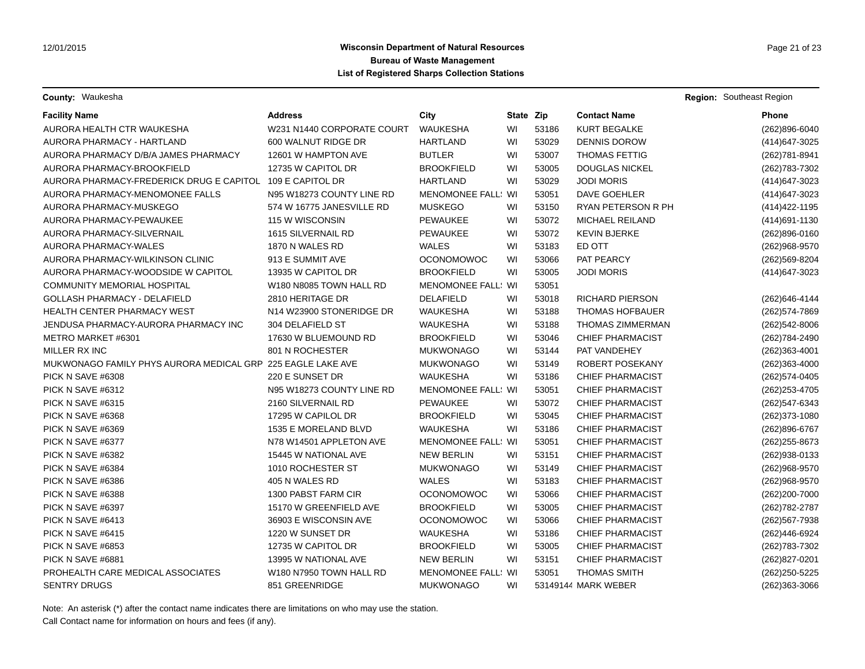**County:** Waukesha **Region:** Southeast Region **Region:** Southeast Region **Region:** Southeast Region

| <b>Facility Name</b>                                        | <b>Address</b>                      | City                      | State Zip |       | <b>Contact Name</b>     | Phone          |
|-------------------------------------------------------------|-------------------------------------|---------------------------|-----------|-------|-------------------------|----------------|
| AURORA HEALTH CTR WAUKESHA                                  | W231 N1440 CORPORATE COURT          | <b>WAUKESHA</b>           | WI        | 53186 | <b>KURT BEGALKE</b>     | (262)896-6040  |
| AURORA PHARMACY - HARTLAND                                  | 600 WALNUT RIDGE DR                 | <b>HARTLAND</b>           | WI        | 53029 | <b>DENNIS DOROW</b>     | (414) 647-3025 |
| AURORA PHARMACY D/B/A JAMES PHARMACY                        | 12601 W HAMPTON AVE                 | <b>BUTLER</b>             | WI        | 53007 | <b>THOMAS FETTIG</b>    | (262) 781-8941 |
| AURORA PHARMACY-BROOKFIELD                                  | 12735 W CAPITOL DR                  | <b>BROOKFIELD</b>         | WI        | 53005 | <b>DOUGLAS NICKEL</b>   | (262) 783-7302 |
| AURORA PHARMACY-FREDERICK DRUG E CAPITOL 109 E CAPITOL DR   |                                     | <b>HARTLAND</b>           | WI        | 53029 | <b>JODI MORIS</b>       | (414) 647-3023 |
| AURORA PHARMACY-MENOMONEE FALLS                             | N95 W18273 COUNTY LINE RD           | <b>MENOMONEE FALL: WI</b> |           | 53051 | DAVE GOEHLER            | (414) 647-3023 |
| AURORA PHARMACY-MUSKEGO                                     | 574 W 16775 JANESVILLE RD           | <b>MUSKEGO</b>            | WI        | 53150 | RYAN PETERSON R PH      | (414) 422-1195 |
| AURORA PHARMACY-PEWAUKEE                                    | 115 W WISCONSIN                     | <b>PEWAUKEE</b>           | WI        | 53072 | <b>MICHAEL REILAND</b>  | (414) 691-1130 |
| AURORA PHARMACY-SILVERNAIL                                  | 1615 SILVERNAIL RD                  | <b>PEWAUKEE</b>           | WI        | 53072 | <b>KEVIN BJERKE</b>     | (262)896-0160  |
| AURORA PHARMACY-WALES                                       | 1870 N WALES RD                     | <b>WALES</b>              | WI        | 53183 | ED OTT                  | (262) 968-9570 |
| AURORA PHARMACY-WILKINSON CLINIC                            | 913 E SUMMIT AVE                    | <b>OCONOMOWOC</b>         | WI        | 53066 | PAT PEARCY              | (262) 569-8204 |
| AURORA PHARMACY-WOODSIDE W CAPITOL                          | 13935 W CAPITOL DR                  | <b>BROOKFIELD</b>         | WI        | 53005 | <b>JODI MORIS</b>       | (414) 647-3023 |
| <b>COMMUNITY MEMORIAL HOSPITAL</b>                          | W180 N8085 TOWN HALL RD             | MENOMONEE FALL: WI        |           | 53051 |                         |                |
| <b>GOLLASH PHARMACY - DELAFIELD</b>                         | 2810 HERITAGE DR                    | <b>DELAFIELD</b>          | WI        | 53018 | <b>RICHARD PIERSON</b>  | (262) 646-4144 |
| <b>HEALTH CENTER PHARMACY WEST</b>                          | N14 W23900 STONERIDGE DR            | <b>WAUKESHA</b>           | WI        | 53188 | <b>THOMAS HOFBAUER</b>  | (262) 574-7869 |
| JENDUSA PHARMACY-AURORA PHARMACY INC                        | 304 DELAFIELD ST                    | <b>WAUKESHA</b>           | WI        | 53188 | <b>THOMAS ZIMMERMAN</b> | (262)542-8006  |
| METRO MARKET #6301                                          | 17630 W BLUEMOUND RD                | <b>BROOKFIELD</b>         | WI        | 53046 | <b>CHIEF PHARMACIST</b> | (262) 784-2490 |
| MILLER RX INC                                               | 801 N ROCHESTER                     | <b>MUKWONAGO</b>          | WI        | 53144 | PAT VANDEHEY            | (262)363-4001  |
| MUKWONAGO FAMILY PHYS AURORA MEDICAL GRP 225 EAGLE LAKE AVE |                                     | MUKWONAGO                 | WI        | 53149 | ROBERT POSEKANY         | (262)363-4000  |
| PICK N SAVE #6308                                           | 220 E SUNSET DR                     | <b>WAUKESHA</b>           | WI        | 53186 | <b>CHIEF PHARMACIST</b> | (262) 574-0405 |
| PICK N SAVE #6312                                           | N95 W18273 COUNTY LINE RD           | <b>MENOMONEE FALL: WI</b> |           | 53051 | <b>CHIEF PHARMACIST</b> | (262) 253-4705 |
| PICK N SAVE #6315                                           | 2160 SILVERNAIL RD                  | <b>PEWAUKEE</b>           | WI        | 53072 | <b>CHIEF PHARMACIST</b> | (262) 547-6343 |
| PICK N SAVE #6368                                           | 17295 W CAPILOL DR                  | <b>BROOKFIELD</b>         | WI        | 53045 | <b>CHIEF PHARMACIST</b> | (262) 373-1080 |
| PICK N SAVE #6369                                           | 1535 E MORELAND BLVD                | <b>WAUKESHA</b>           | WI        | 53186 | <b>CHIEF PHARMACIST</b> | (262)896-6767  |
| PICK N SAVE #6377                                           | N78 W14501 APPLETON AVE             | MENOMONEE FALL: WI        |           | 53051 | <b>CHIEF PHARMACIST</b> | (262) 255-8673 |
| PICK N SAVE #6382                                           | 15445 W NATIONAL AVE                | <b>NEW BERLIN</b>         | WI        | 53151 | <b>CHIEF PHARMACIST</b> | (262) 938-0133 |
| PICK N SAVE #6384                                           | 1010 ROCHESTER ST                   | <b>MUKWONAGO</b>          | WI        | 53149 | <b>CHIEF PHARMACIST</b> | (262) 968-9570 |
| PICK N SAVE #6386                                           | 405 N WALES RD                      | <b>WALES</b>              | WI        | 53183 | <b>CHIEF PHARMACIST</b> | (262) 968-9570 |
| PICK N SAVE #6388                                           | 1300 PABST FARM CIR                 | <b>OCONOMOWOC</b>         | WI        | 53066 | <b>CHIEF PHARMACIST</b> | (262)200-7000  |
| PICK N SAVE #6397                                           | 15170 W GREENFIELD AVE              | <b>BROOKFIELD</b>         | WI        | 53005 | <b>CHIEF PHARMACIST</b> | (262) 782-2787 |
| PICK N SAVE #6413                                           | 36903 E WISCONSIN AVE               | <b>OCONOMOWOC</b>         | WI        | 53066 | <b>CHIEF PHARMACIST</b> | (262) 567-7938 |
| PICK N SAVE #6415                                           | 1220 W SUNSET DR                    | <b>WAUKESHA</b>           | WI        | 53186 | <b>CHIEF PHARMACIST</b> | (262)446-6924  |
| PICK N SAVE #6853                                           | 12735 W CAPITOL DR                  | <b>BROOKFIELD</b>         | WI        | 53005 | <b>CHIEF PHARMACIST</b> | (262) 783-7302 |
| PICK N SAVE #6881                                           | 13995 W NATIONAL AVE                | <b>NEW BERLIN</b>         | WI        | 53151 | <b>CHIEF PHARMACIST</b> | (262)827-0201  |
| PROHEALTH CARE MEDICAL ASSOCIATES                           | W <sub>180</sub> N7950 TOWN HALL RD | <b>MENOMONEE FALL: WI</b> |           | 53051 | <b>THOMAS SMITH</b>     | (262) 250-5225 |
| <b>SENTRY DRUGS</b>                                         | 851 GREENRIDGE                      | <b>MUKWONAGO</b>          | WI        |       | 53149144 MARK WEBER     | (262)363-3066  |

Note: An asterisk (\*) after the contact name indicates there are limitations on who may use the station.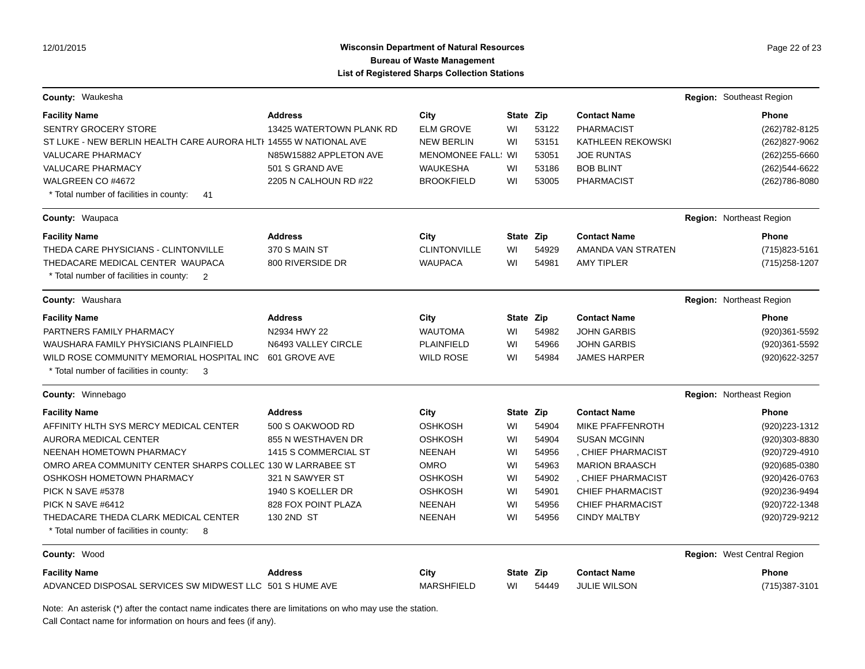# **Wisconsin Department of Natural Resources Page 22 of 23 Page 22 of 23 Bureau of Waste Management List of Registered Sharps Collection Stations**

| County: Waukesha                                                      |                          |                        |           |       |                          | Region: Southeast Region    |
|-----------------------------------------------------------------------|--------------------------|------------------------|-----------|-------|--------------------------|-----------------------------|
| <b>Facility Name</b>                                                  | <b>Address</b>           | City                   | State Zip |       | <b>Contact Name</b>      | <b>Phone</b>                |
| <b>SENTRY GROCERY STORE</b>                                           | 13425 WATERTOWN PLANK RD | <b>ELM GROVE</b>       | WI        | 53122 | <b>PHARMACIST</b>        | (262) 782-8125              |
| ST LUKE - NEW BERLIN HEALTH CARE AURORA HLTI 14555 W NATIONAL AVE     |                          | <b>NEW BERLIN</b>      | WI        | 53151 | <b>KATHLEEN REKOWSKI</b> | (262)827-9062               |
| <b>VALUCARE PHARMACY</b>                                              | N85W15882 APPLETON AVE   | <b>MENOMONEE FALL:</b> | WI        | 53051 | <b>JOE RUNTAS</b>        | (262) 255-6660              |
| <b>VALUCARE PHARMACY</b>                                              | 501 S GRAND AVE          | <b>WAUKESHA</b>        | WI        | 53186 | <b>BOB BLINT</b>         | (262) 544-6622              |
| WALGREEN CO #4672                                                     | 2205 N CALHOUN RD #22    | <b>BROOKFIELD</b>      | WI        | 53005 | <b>PHARMACIST</b>        | (262) 786-8080              |
| * Total number of facilities in county:<br>41                         |                          |                        |           |       |                          |                             |
| County: Waupaca                                                       |                          |                        |           |       |                          | Region: Northeast Region    |
| <b>Facility Name</b>                                                  | <b>Address</b>           | City                   | State Zip |       | <b>Contact Name</b>      | <b>Phone</b>                |
| THEDA CARE PHYSICIANS - CLINTONVILLE                                  | 370 S MAIN ST            | <b>CLINTONVILLE</b>    | WI        | 54929 | AMANDA VAN STRATEN       | (715) 823-5161              |
| THEDACARE MEDICAL CENTER WAUPACA                                      | 800 RIVERSIDE DR         | <b>WAUPACA</b>         | WI        | 54981 | <b>AMY TIPLER</b>        | (715) 258-1207              |
| * Total number of facilities in county:<br>$\overline{\phantom{0}}^2$ |                          |                        |           |       |                          |                             |
| County: Waushara                                                      |                          |                        |           |       |                          | Region: Northeast Region    |
| <b>Facility Name</b>                                                  | <b>Address</b>           | City                   | State Zip |       | <b>Contact Name</b>      | <b>Phone</b>                |
| PARTNERS FAMILY PHARMACY                                              | N2934 HWY 22             | <b>WAUTOMA</b>         | WI        | 54982 | <b>JOHN GARBIS</b>       | (920)361-5592               |
| WAUSHARA FAMILY PHYSICIANS PLAINFIELD                                 | N6493 VALLEY CIRCLE      | <b>PLAINFIELD</b>      | WI        | 54966 | <b>JOHN GARBIS</b>       | (920)361-5592               |
| WILD ROSE COMMUNITY MEMORIAL HOSPITAL INC                             | 601 GROVE AVE            | <b>WILD ROSE</b>       | WI        | 54984 | <b>JAMES HARPER</b>      | (920) 622-3257              |
| * Total number of facilities in county:<br>$\overline{\mathbf{3}}$    |                          |                        |           |       |                          |                             |
| County: Winnebago                                                     |                          |                        |           |       |                          | Region: Northeast Region    |
| <b>Facility Name</b>                                                  | <b>Address</b>           | City                   | State Zip |       | <b>Contact Name</b>      | <b>Phone</b>                |
| AFFINITY HLTH SYS MERCY MEDICAL CENTER                                | 500 S OAKWOOD RD         | <b>OSHKOSH</b>         | WI        | 54904 | MIKE PFAFFENROTH         | (920) 223-1312              |
| AURORA MEDICAL CENTER                                                 | 855 N WESTHAVEN DR       | <b>OSHKOSH</b>         | WI        | 54904 | <b>SUSAN MCGINN</b>      | (920)303-8830               |
| NEENAH HOMETOWN PHARMACY                                              | 1415 S COMMERCIAL ST     | <b>NEENAH</b>          | WI        | 54956 | , CHIEF PHARMACIST       | (920) 729-4910              |
| OMRO AREA COMMUNITY CENTER SHARPS COLLEC 130 W LARRABEE ST            |                          | <b>OMRO</b>            | WI        | 54963 | <b>MARION BRAASCH</b>    | (920) 685-0380              |
| OSHKOSH HOMETOWN PHARMACY                                             | 321 N SAWYER ST          | <b>OSHKOSH</b>         | WI        | 54902 | , CHIEF PHARMACIST       | (920)426-0763               |
| PICK N SAVE #5378                                                     | 1940 S KOELLER DR        | <b>OSHKOSH</b>         | WI        | 54901 | <b>CHIEF PHARMACIST</b>  | (920)236-9494               |
| PICK N SAVE #6412                                                     | 828 FOX POINT PLAZA      | <b>NEENAH</b>          | WI        | 54956 | <b>CHIEF PHARMACIST</b>  | (920) 722-1348              |
| THEDACARE THEDA CLARK MEDICAL CENTER                                  | 130 2ND ST               | <b>NEENAH</b>          | WI        | 54956 | <b>CINDY MALTBY</b>      | (920) 729-9212              |
| * Total number of facilities in county:<br>- 8                        |                          |                        |           |       |                          |                             |
| County: Wood                                                          |                          |                        |           |       |                          | Region: West Central Region |
| <b>Facility Name</b>                                                  | <b>Address</b>           | City                   | State Zip |       | <b>Contact Name</b>      | <b>Phone</b>                |
| ADVANCED DISPOSAL SERVICES SW MIDWEST LLC 501 S HUME AVE              |                          | <b>MARSHFIELD</b>      | WI        | 54449 | <b>JULIE WILSON</b>      | (715) 387-3101              |

Note: An asterisk (\*) after the contact name indicates there are limitations on who may use the station.